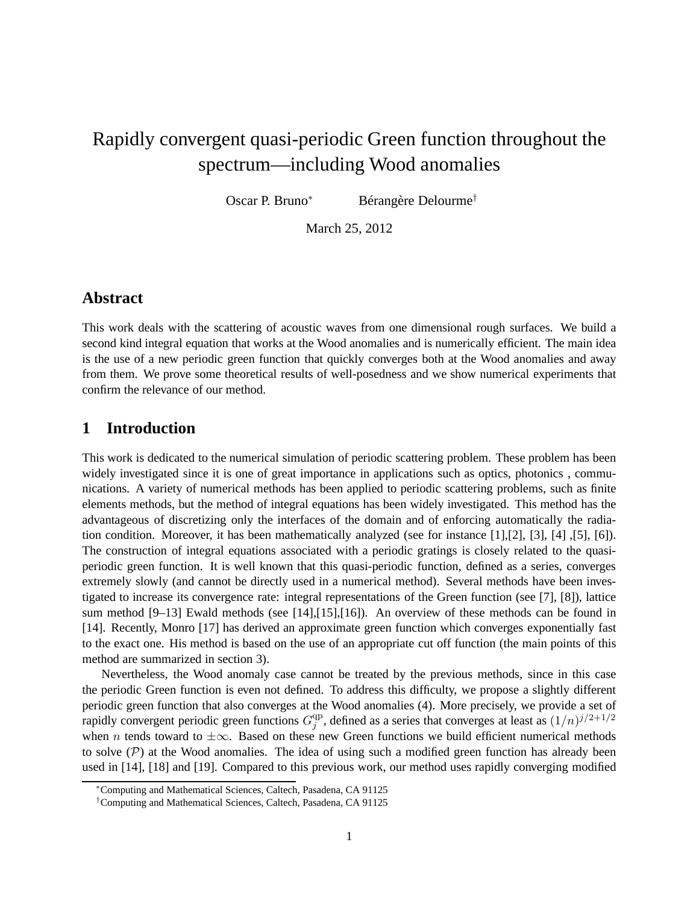# Rapidly convergent quasi-periodic Green function throughout the spectrum—including Wood anomalies

Oscar P. Bruno<sup>∗</sup> Bérangère Delourme†

March 25, 2012

### **Abstract**

This work deals with the scattering of acoustic waves from one dimensional rough surfaces. We build a second kind integral equation that works at the Wood anomalies and is numerically efficient. The main idea is the use of a new periodic green function that quickly converges both at the Wood anomalies and away from them. We prove some theoretical results of well-posedness and we show numerical experiments that confirm the relevance of our method.

## **1 Introduction**

This work is dedicated to the numerical simulation of periodic scattering problem. These problem has been widely investigated since it is one of great importance in applications such as optics, photonics, communications. A variety of numerical methods has been applied to periodic scattering problems, such as finite elements methods, but the method of integral equations has been widely investigated. This method has the advantageous of discretizing only the interfaces of the domain and of enforcing automatically the radiation condition. Moreover, it has been mathematically analyzed (see for instance [1],[2], [3], [4] ,[5], [6]). The construction of integral equations associated with a periodic gratings is closely related to the quasiperiodic green function. It is well known that this quasi-periodic function, defined as a series, converges extremely slowly (and cannot be directly used in a numerical method). Several methods have been investigated to increase its convergence rate: integral representations of the Green function (see [7], [8]), lattice sum method [9–13] Ewald methods (see [14],[15],[16]). An overview of these methods can be found in [14]. Recently, Monro [17] has derived an approximate green function which converges exponentially fast to the exact one. His method is based on the use of an appropriate cut off function (the main points of this method are summarized in section 3).

Nevertheless, the Wood anomaly case cannot be treated by the previous methods, since in this case the periodic Green function is even not defined. To address this difficulty, we propose a slightly different periodic green function that also converges at the Wood anomalies (4). More precisely, we provide a set of rapidly convergent periodic green functions  $G_i^{\text{qp}}$  $j^{qp}$ , defined as a series that converges at least as  $(1/n)^{j/2+1/2}$ when n tends toward to  $\pm \infty$ . Based on these new Green functions we build efficient numerical methods to solve  $(P)$  at the Wood anomalies. The idea of using such a modified green function has already been used in [14], [18] and [19]. Compared to this previous work, our method uses rapidly converging modified

<sup>∗</sup>Computing and Mathematical Sciences, Caltech, Pasadena, CA 91125

<sup>†</sup>Computing and Mathematical Sciences, Caltech, Pasadena, CA 91125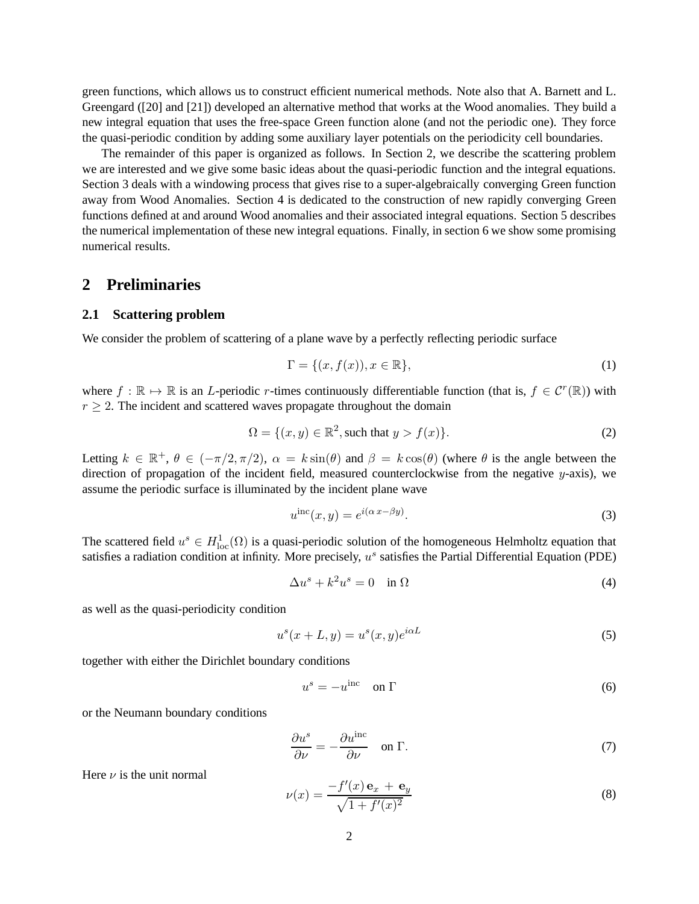green functions, which allows us to construct efficient numerical methods. Note also that A. Barnett and L. Greengard ([20] and [21]) developed an alternative method that works at the Wood anomalies. They build a new integral equation that uses the free-space Green function alone (and not the periodic one). They force the quasi-periodic condition by adding some auxiliary layer potentials on the periodicity cell boundaries.

The remainder of this paper is organized as follows. In Section 2, we describe the scattering problem we are interested and we give some basic ideas about the quasi-periodic function and the integral equations. Section 3 deals with a windowing process that gives rise to a super-algebraically converging Green function away from Wood Anomalies. Section 4 is dedicated to the construction of new rapidly converging Green functions defined at and around Wood anomalies and their associated integral equations. Section 5 describes the numerical implementation of these new integral equations. Finally, in section 6 we show some promising numerical results.

# **2 Preliminaries**

### **2.1 Scattering problem**

We consider the problem of scattering of a plane wave by a perfectly reflecting periodic surface

$$
\Gamma = \{(x, f(x)), x \in \mathbb{R}\},\tag{1}
$$

where  $f : \mathbb{R} \to \mathbb{R}$  is an L-periodic r-times continuously differentiable function (that is,  $f \in C^r(\mathbb{R})$ ) with  $r > 2$ . The incident and scattered waves propagate throughout the domain

$$
\Omega = \{(x, y) \in \mathbb{R}^2, \text{such that } y > f(x)\}.
$$
 (2)

Letting  $k \in \mathbb{R}^+$ ,  $\theta \in (-\pi/2, \pi/2)$ ,  $\alpha = k \sin(\theta)$  and  $\beta = k \cos(\theta)$  (where  $\theta$  is the angle between the direction of propagation of the incident field, measured counterclockwise from the negative  $y$ -axis), we assume the periodic surface is illuminated by the incident plane wave

$$
u^{\rm inc}(x, y) = e^{i(\alpha x - \beta y)}.
$$
\n(3)

The scattered field  $u^s \in H^1_{loc}(\Omega)$  is a quasi-periodic solution of the homogeneous Helmholtz equation that satisfies a radiation condition at infinity. More precisely,  $u^s$  satisfies the Partial Differential Equation (PDE)

$$
\Delta u^s + k^2 u^s = 0 \quad \text{in } \Omega \tag{4}
$$

as well as the quasi-periodicity condition

$$
u^s(x+L, y) = u^s(x, y)e^{i\alpha L}
$$
\n<sup>(5)</sup>

together with either the Dirichlet boundary conditions

$$
u^s = -u^{\text{inc}} \quad \text{on } \Gamma \tag{6}
$$

or the Neumann boundary conditions

$$
\frac{\partial u^s}{\partial \nu} = -\frac{\partial u^{\text{inc}}}{\partial \nu} \quad \text{on } \Gamma.
$$
 (7)

Here  $\nu$  is the unit normal

$$
\nu(x) = \frac{-f'(x)\,\mathbf{e}_x + \mathbf{e}_y}{\sqrt{1 + f'(x)^2}}\tag{8}
$$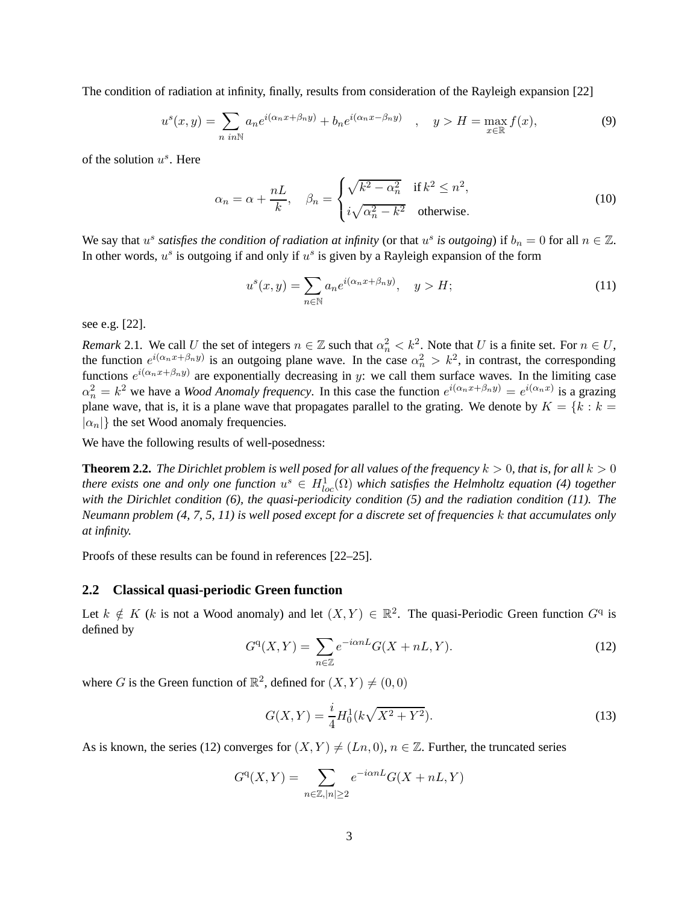The condition of radiation at infinity, finally, results from consideration of the Rayleigh expansion [22]

$$
u^s(x,y) = \sum_{n \ in \mathbb{N}} a_n e^{i(\alpha_n x + \beta_n y)} + b_n e^{i(\alpha_n x - \beta_n y)} \quad , \quad y > H = \max_{x \in \mathbb{R}} f(x), \tag{9}
$$

of the solution  $u^s$ . Here

$$
\alpha_n = \alpha + \frac{nL}{k}, \quad \beta_n = \begin{cases} \sqrt{k^2 - \alpha_n^2} & \text{if } k^2 \le n^2, \\ i\sqrt{\alpha_n^2 - k^2} & \text{otherwise.} \end{cases} \tag{10}
$$

We say that  $u^s$  *satisfies the condition of radiation at infinity* (or that  $u^s$  *is outgoing*) if  $b_n = 0$  for all  $n \in \mathbb{Z}$ . In other words,  $u^s$  is outgoing if and only if  $u^s$  is given by a Rayleigh expansion of the form

$$
u^s(x,y) = \sum_{n \in \mathbb{N}} a_n e^{i(\alpha_n x + \beta_n y)}, \quad y > H; \tag{11}
$$

see e.g. [22].

*Remark* 2.1. We call U the set of integers  $n \in \mathbb{Z}$  such that  $\alpha_n^2 < k^2$ . Note that U is a finite set. For  $n \in U$ , the function  $e^{i(\alpha_n x + \beta_n y)}$  is an outgoing plane wave. In the case  $\alpha_n^2 > k^2$ , in contrast, the corresponding functions  $e^{i(\alpha_n x + \beta_n y)}$  are exponentially decreasing in y: we call them surface waves. In the limiting case  $\alpha_n^2 = k^2$  we have a *Wood Anomaly frequency*. In this case the function  $e^{i(\alpha_n x + \beta_n y)} = e^{i(\alpha_n x)}$  is a grazing plane wave, that is, it is a plane wave that propagates parallel to the grating. We denote by  $K = \{k : k = \}$  $|\alpha_n|$  the set Wood anomaly frequencies.

We have the following results of well-posedness:

**Theorem 2.2.** *The Dirichlet problem is well posed for all values of the frequency*  $k > 0$ *, that is, for all*  $k > 0$ *there exists one and only one function*  $u^s \in H^1_{loc}(\Omega)$  which satisfies the Helmholtz equation (4) together *with the Dirichlet condition (6), the quasi-periodicity condition (5) and the radiation condition (11). The Neumann problem (4, 7, 5, 11) is well posed except for a discrete set of frequencies* k *that accumulates only at infinity.*

Proofs of these results can be found in references [22–25].

#### **2.2 Classical quasi-periodic Green function**

Let  $k \notin K$  (k is not a Wood anomaly) and let  $(X, Y) \in \mathbb{R}^2$ . The quasi-Periodic Green function  $G^q$  is defined by

$$
G^{\mathbf{q}}(X,Y) = \sum_{n \in \mathbb{Z}} e^{-i\alpha n L} G(X + nL, Y). \tag{12}
$$

where *G* is the Green function of  $\mathbb{R}^2$ , defined for  $(X, Y) \neq (0, 0)$ 

$$
G(X,Y) = \frac{i}{4}H_0^1(k\sqrt{X^2 + Y^2}).
$$
\n(13)

As is known, the series (12) converges for  $(X, Y) \neq (Ln, 0)$ ,  $n \in \mathbb{Z}$ . Further, the truncated series

$$
G^{q}(X,Y) = \sum_{n \in \mathbb{Z}, |n| \ge 2} e^{-i\alpha nL} G(X + nL, Y)
$$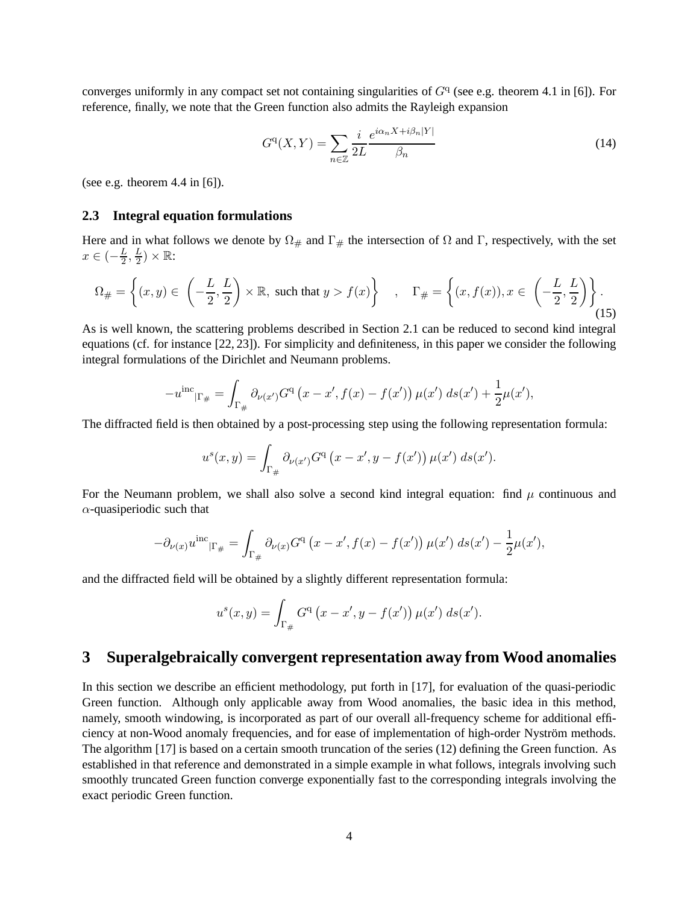converges uniformly in any compact set not containing singularities of  $G<sup>q</sup>$  (see e.g. theorem 4.1 in [6]). For reference, finally, we note that the Green function also admits the Rayleigh expansion

$$
G^{q}(X,Y) = \sum_{n \in \mathbb{Z}} \frac{i}{2L} \frac{e^{i\alpha_n X + i\beta_n |Y|}}{\beta_n} \tag{14}
$$

(see e.g. theorem 4.4 in [6]).

#### **2.3 Integral equation formulations**

Here and in what follows we denote by  $\Omega_{\#}$  and  $\Gamma_{\#}$  the intersection of  $\Omega$  and  $\Gamma$ , respectively, with the set  $x \in \left(-\frac{L}{2}\right)$  $\frac{L}{2},\frac{L}{2}$  $(\frac{L}{2})\times\mathbb{R}$ :

$$
\Omega_{\#} = \left\{ (x, y) \in \left( -\frac{L}{2}, \frac{L}{2} \right) \times \mathbb{R}, \text{ such that } y > f(x) \right\} \quad , \quad \Gamma_{\#} = \left\{ (x, f(x)), x \in \left( -\frac{L}{2}, \frac{L}{2} \right) \right\}.
$$
\n
$$
(15)
$$

As is well known, the scattering problems described in Section 2.1 can be reduced to second kind integral equations (cf. for instance [22, 23]). For simplicity and definiteness, in this paper we consider the following integral formulations of the Dirichlet and Neumann problems.

$$
-u^{\rm inc}_{|\Gamma_{\#}} = \int_{\Gamma_{\#}} \partial_{\nu(x')} G^{\rm q} (x - x', f(x) - f(x')) \mu(x') \, ds(x') + \frac{1}{2} \mu(x'),
$$

The diffracted field is then obtained by a post-processing step using the following representation formula:

$$
u^{s}(x, y) = \int_{\Gamma_{\#}} \partial_{\nu(x')} G^{q} (x - x', y - f(x')) \mu(x') \ ds(x').
$$

For the Neumann problem, we shall also solve a second kind integral equation: find  $\mu$  continuous and  $\alpha$ -quasiperiodic such that

$$
-\partial_{\nu(x)}u^{\rm inc}_{|\Gamma_{\#}} = \int_{\Gamma_{\#}} \partial_{\nu(x)}G^{\rm q} (x - x', f(x) - f(x')) \mu(x') \, ds(x') - \frac{1}{2}\mu(x'),
$$

and the diffracted field will be obtained by a slightly different representation formula:

$$
u^{s}(x, y) = \int_{\Gamma_{\#}} G^{q}(x - x', y - f(x')) \mu(x') \ ds(x').
$$

# **3 Superalgebraically convergent representation away from Wood anomalies**

In this section we describe an efficient methodology, put forth in [17], for evaluation of the quasi-periodic Green function. Although only applicable away from Wood anomalies, the basic idea in this method, namely, smooth windowing, is incorporated as part of our overall all-frequency scheme for additional efficiency at non-Wood anomaly frequencies, and for ease of implementation of high-order Nyström methods. The algorithm [17] is based on a certain smooth truncation of the series (12) defining the Green function. As established in that reference and demonstrated in a simple example in what follows, integrals involving such smoothly truncated Green function converge exponentially fast to the corresponding integrals involving the exact periodic Green function.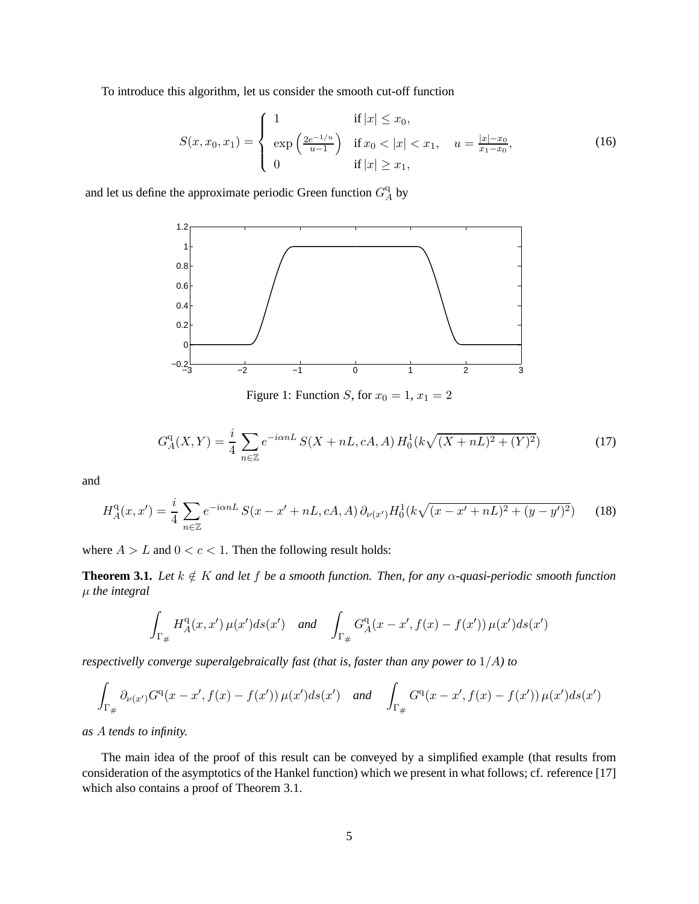To introduce this algorithm, let us consider the smooth cut-off function

$$
S(x, x_0, x_1) = \begin{cases} 1 & \text{if } |x| \le x_0, \\ \exp\left(\frac{2e^{-1/u}}{u-1}\right) & \text{if } x_0 < |x| < x_1, u = \frac{|x| - x_0}{x_1 - x_0}, \\ 0 & \text{if } |x| \ge x_1, \end{cases}
$$
(16)

and let us define the approximate periodic Green function  $G^q_{\mu}$  $A^q$  by



Figure 1: Function S, for  $x_0 = 1$ ,  $x_1 = 2$ 

$$
G_A^{\mathbf{q}}(X,Y) = \frac{i}{4} \sum_{n \in \mathbb{Z}} e^{-i\alpha n L} S(X + nL, cA, A) H_0^1(k\sqrt{(X + nL)^2 + (Y)^2})
$$
(17)

and

$$
H_A^{\mathbf{q}}(x, x') = \frac{i}{4} \sum_{n \in \mathbb{Z}} e^{-i\alpha n L} S(x - x' + nL, cA, A) \partial_{\nu(x')} H_0^1(k\sqrt{(x - x' + nL)^2 + (y - y')^2}) \tag{18}
$$

where  $A > L$  and  $0 < c < 1$ . Then the following result holds:

**Theorem 3.1.** *Let*  $k \notin K$  *and let*  $f$  *be a smooth function. Then, for any*  $\alpha$ *-quasi-periodic smooth function* µ *the integral*

$$
\int_{\Gamma_{\#}} H^{\rm q}_A(x,x') \,\mu(x') ds(x') \quad \text{and} \quad \int_{\Gamma_{\#}} G^{\rm q}_A(x-x',f(x)-f(x')) \,\mu(x') ds(x')
$$

*respectivelly converge superalgebraically fast (that is, faster than any power to* 1/A*) to*

$$
\int_{\Gamma_{\#}} \partial_{\nu(x')} G^{q}(x-x',f(x)-f(x')) \,\mu(x')ds(x') \quad \text{and} \quad \int_{\Gamma_{\#}} G^{q}(x-x',f(x)-f(x')) \,\mu(x')ds(x')
$$

*as* A *tends to infinity.*

The main idea of the proof of this result can be conveyed by a simplified example (that results from consideration of the asymptotics of the Hankel function) which we present in what follows; cf. reference [17] which also contains a proof of Theorem 3.1.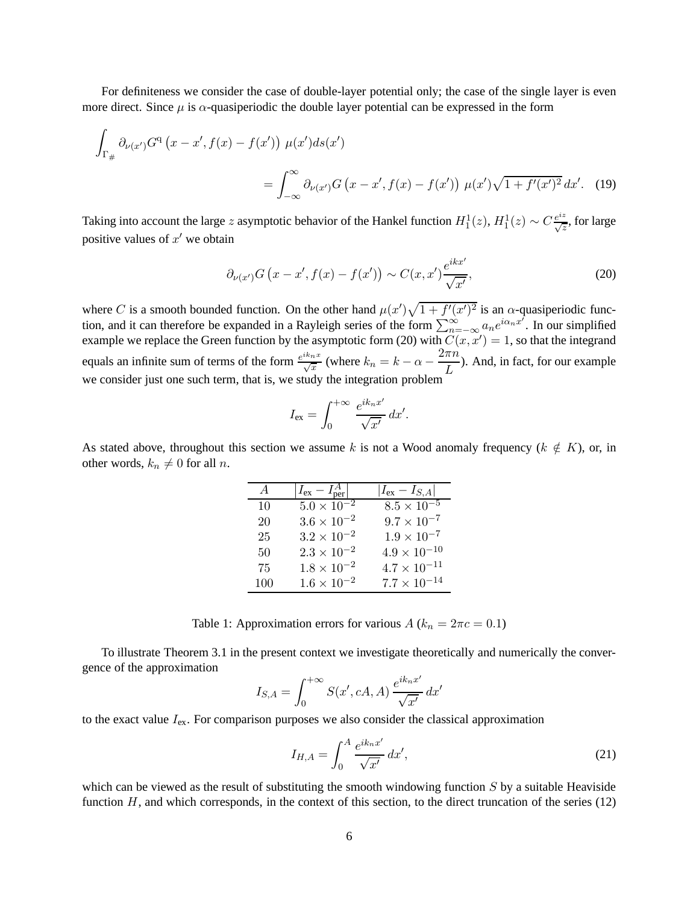For definiteness we consider the case of double-layer potential only; the case of the single layer is even more direct. Since  $\mu$  is  $\alpha$ -quasiperiodic the double layer potential can be expressed in the form

$$
\int_{\Gamma_{\#}} \partial_{\nu(x')} G^{q} (x - x', f(x) - f(x')) \mu(x') ds(x')
$$
\n
$$
= \int_{-\infty}^{\infty} \partial_{\nu(x')} G (x - x', f(x) - f(x')) \mu(x') \sqrt{1 + f'(x')^2} dx'. \quad (19)
$$

Taking into account the large z asymptotic behavior of the Hankel function  $H_1^1(z)$ ,  $H_1^1(z) \sim C \frac{e^{iz}}{\sqrt{z}}$ , for large positive values of  $x'$  we obtain

$$
\partial_{\nu(x')} G\left(x - x', f(x) - f(x')\right) \sim C(x, x') \frac{e^{ikx'}}{\sqrt{x'}},\tag{20}
$$

where C is a smooth bounded function. On the other hand  $\mu(x')\sqrt{1+f'(x')^2}$  is an  $\alpha$ -quasiperiodic function, and it can therefore be expanded in a Rayleigh series of the form  $\sum_{n=-\infty}^{\infty} a_n e^{i\alpha_n x^n}$ . In our simplified example we replace the Green function by the asymptotic form (20) with  $C(x, x') = 1$ , so that the integrand equals an infinite sum of terms of the form  $\frac{e^{ik_nx}}{\sqrt{x}}$  (where  $k_n = k - \alpha - \frac{2\pi n}{L}$  $\frac{uv}{L}$ ). And, in fact, for our example we consider just one such term, that is, we study the integration problem

$$
I_{\text{ex}} = \int_0^{+\infty} \frac{e^{ik_n x'}}{\sqrt{x'}} dx'.
$$

As stated above, throughout this section we assume k is not a Wood anomaly frequency ( $k \notin K$ ), or, in other words,  $k_n \neq 0$  for all n.

| $\overline{A}$ | $ I_{\rm ex} - I_{\rm ner}^A $ | $ I_{ex} - I_{S,A} $  |
|----------------|--------------------------------|-----------------------|
| 10             | $5.0 \times 10^{-2}$           | $8.5 \times 10^{-5}$  |
| 20             | $3.6 \times 10^{-2}$           | $9.7 \times 10^{-7}$  |
| 25             | $3.2 \times 10^{-2}$           | $1.9 \times 10^{-7}$  |
| 50             | $2.3 \times 10^{-2}$           | $4.9 \times 10^{-10}$ |
| 75             | $1.8 \times 10^{-2}$           | $4.7 \times 10^{-11}$ |
| 100            | $1.6 \times 10^{-2}$           | $7.7 \times 10^{-14}$ |

| Table 1: Approximation errors for various $A (k_n = 2\pi c = 0.1)$ |  |  |  |  |  |
|--------------------------------------------------------------------|--|--|--|--|--|
|--------------------------------------------------------------------|--|--|--|--|--|

To illustrate Theorem 3.1 in the present context we investigate theoretically and numerically the convergence of the approximation

$$
I_{S,A} = \int_0^{+\infty} S(x', cA, A) \frac{e^{ik_n x'}}{\sqrt{x'}} dx'
$$

to the exact value  $I_{ex}$ . For comparison purposes we also consider the classical approximation

$$
I_{H,A} = \int_0^A \frac{e^{ik_n x'}}{\sqrt{x'}} dx',\tag{21}
$$

which can be viewed as the result of substituting the smooth windowing function  $S$  by a suitable Heaviside function  $H$ , and which corresponds, in the context of this section, to the direct truncation of the series (12)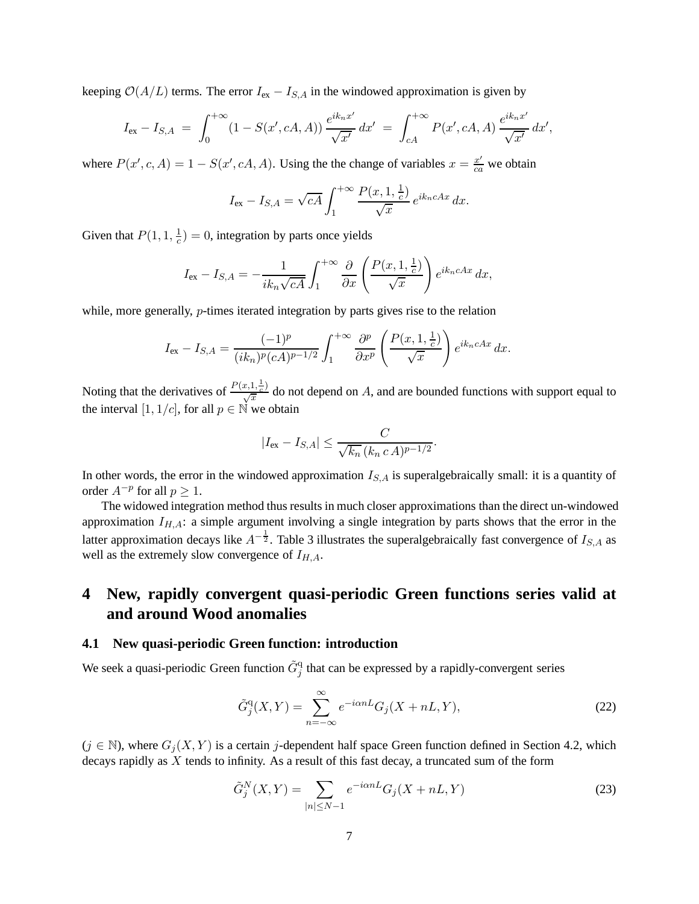keeping  $O(A/L)$  terms. The error  $I_{ex} - I_{S,A}$  in the windowed approximation is given by

$$
I_{\rm ex} - I_{S,A} \ = \ \int_0^{+\infty} (1 - S(x', cA, A)) \, \frac{e^{ik_n x'}}{\sqrt{x'}} \, dx' \ = \ \int_{cA}^{+\infty} P(x', cA, A) \, \frac{e^{ik_n x'}}{\sqrt{x'}} \, dx',
$$

where  $P(x', c, A) = 1 - S(x', cA, A)$ . Using the the change of variables  $x = \frac{x'}{ca}$  we obtain

$$
I_{\text{ex}} - I_{S,A} = \sqrt{cA} \int_1^{+\infty} \frac{P(x, 1, \frac{1}{c})}{\sqrt{x}} e^{ik_n cAx} dx.
$$

Given that  $P(1, 1, \frac{1}{c})$  $(\frac{1}{c}) = 0$ , integration by parts once yields

$$
I_{\text{ex}} - I_{S,A} = -\frac{1}{ik_n\sqrt{cA}} \int_1^{+\infty} \frac{\partial}{\partial x} \left( \frac{P(x, 1, \frac{1}{c})}{\sqrt{x}} \right) e^{ik_n cAx} dx,
$$

while, more generally, *p*-times iterated integration by parts gives rise to the relation

$$
I_{\text{ex}} - I_{S,A} = \frac{(-1)^p}{(ik_n)^p (cA)^{p-1/2}} \int_1^{+\infty} \frac{\partial^p}{\partial x^p} \left( \frac{P(x, 1, \frac{1}{c})}{\sqrt{x}} \right) e^{ik_n cAx} dx.
$$

Noting that the derivatives of  $\frac{P(x,1,\frac{1}{c})}{\sqrt{x}}$  do not depend on A, and are bounded functions with support equal to the interval [1, 1/c], for all  $p \in \mathbb{N}$  we obtain

$$
|I_{\text{ex}} - I_{S,A}| \leq \frac{C}{\sqrt{k_n} (k_n \, c \, A)^{p-1/2}}.
$$

In other words, the error in the windowed approximation  $I_{S,A}$  is superalgebraically small: it is a quantity of order  $A^{-p}$  for all  $p \geq 1$ .

The widowed integration method thus results in much closer approximations than the direct un-windowed approximation  $I_{H,A}$ : a simple argument involving a single integration by parts shows that the error in the latter approximation decays like  $A^{-\frac{1}{2}}$ . Table 3 illustrates the superalgebraically fast convergence of  $I_{S,A}$  as well as the extremely slow convergence of  $I_{H,A}$ .

# **4 New, rapidly convergent quasi-periodic Green functions series valid at and around Wood anomalies**

#### **4.1 New quasi-periodic Green function: introduction**

We seek a quasi-periodic Green function  $\tilde{G}_j^{\text{q}}$  that can be expressed by a rapidly-convergent series

$$
\tilde{G}_j^{\mathbf{q}}(X,Y) = \sum_{n=-\infty}^{\infty} e^{-i\alpha n L} G_j(X+nL,Y),\tag{22}
$$

 $(j \in \mathbb{N})$ , where  $G_j(X, Y)$  is a certain j-dependent half space Green function defined in Section 4.2, which decays rapidly as X tends to infinity. As a result of this fast decay, a truncated sum of the form

$$
\tilde{G}_j^N(X,Y) = \sum_{|n| \le N-1} e^{-i\alpha n L} G_j(X+nL,Y)
$$
\n(23)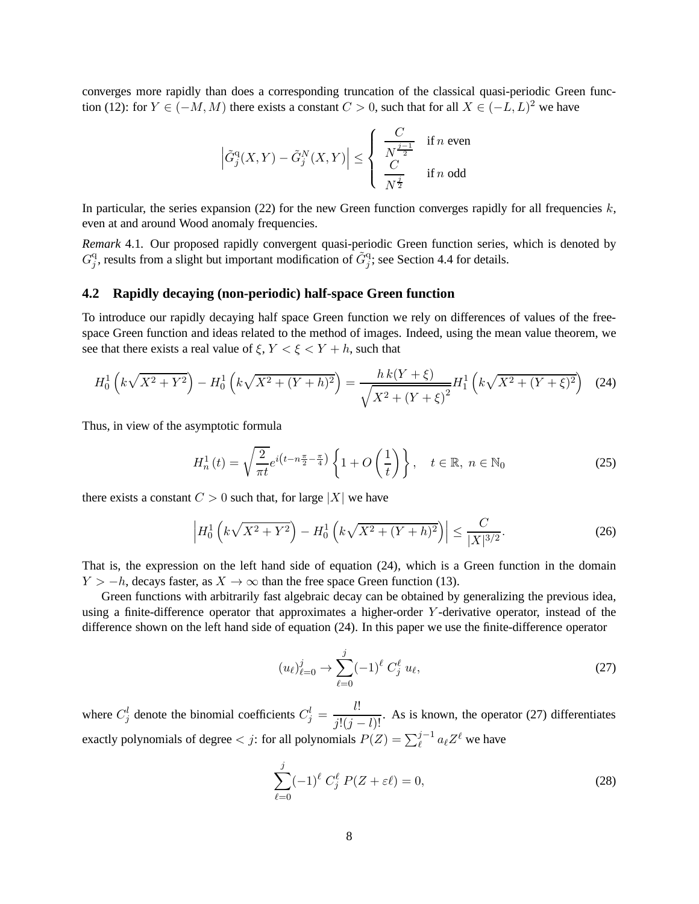converges more rapidly than does a corresponding truncation of the classical quasi-periodic Green function (12): for  $Y \in (-M, M)$  there exists a constant  $C > 0$ , such that for all  $X \in (-L, L)^2$  we have

$$
\left|\tilde{G}_j^{\mathrm{q}}(X,Y)-\tilde{G}_j^N(X,Y)\right|\leq\left\{\begin{array}{ll} \frac{C}{N^{\frac{j-1}{2}}} & \text{if $n$ even}\\ \frac{C}{N^{\frac{j}{2}}} & \text{if $n$ odd} \end{array}\right.
$$

In particular, the series expansion (22) for the new Green function converges rapidly for all frequencies  $k$ , even at and around Wood anomaly frequencies.

*Remark* 4.1*.* Our proposed rapidly convergent quasi-periodic Green function series, which is denoted by  $G_i^q$  $j$ , results from a slight but important modification of  $\tilde{G}_j^q$ ; see Section 4.4 for details.

#### **4.2 Rapidly decaying (non-periodic) half-space Green function**

To introduce our rapidly decaying half space Green function we rely on differences of values of the freespace Green function and ideas related to the method of images. Indeed, using the mean value theorem, we see that there exists a real value of  $\xi$ ,  $Y < \xi < Y + h$ , such that

$$
H_0^1\left(k\sqrt{X^2+Y^2}\right) - H_0^1\left(k\sqrt{X^2+(Y+h)^2}\right) = \frac{h\,k(Y+\xi)}{\sqrt{X^2+(Y+\xi)^2}}H_1^1\left(k\sqrt{X^2+(Y+\xi)^2}\right) \tag{24}
$$

Thus, in view of the asymptotic formula

$$
H_n^1(t) = \sqrt{\frac{2}{\pi t}} e^{i\left(t - n\frac{\pi}{2} - \frac{\pi}{4}\right)} \left\{ 1 + O\left(\frac{1}{t}\right) \right\}, \quad t \in \mathbb{R}, n \in \mathbb{N}_0
$$
 (25)

there exists a constant  $C > 0$  such that, for large |X| we have

$$
\left| H_0^1 \left( k \sqrt{X^2 + Y^2} \right) - H_0^1 \left( k \sqrt{X^2 + (Y + h)^2} \right) \right| \le \frac{C}{|X|^{3/2}}.
$$
\n(26)

That is, the expression on the left hand side of equation (24), which is a Green function in the domain  $Y > -h$ , decays faster, as  $X \to \infty$  than the free space Green function (13).

Green functions with arbitrarily fast algebraic decay can be obtained by generalizing the previous idea, using a finite-difference operator that approximates a higher-order Y -derivative operator, instead of the difference shown on the left hand side of equation (24). In this paper we use the finite-difference operator

$$
(u_{\ell})_{\ell=0}^{j} \to \sum_{\ell=0}^{j} (-1)^{\ell} C_{j}^{\ell} u_{\ell}, \qquad (27)
$$

where  $C_j^l$  denote the binomial coefficients  $C_j^l = \frac{l!}{j!(j-l)!}$ . As is known, the operator (27) differentiates exactly polynomials of degree  $\langle j:$  for all polynomials  $P(Z) = \sum_{\ell}^{j-1} a_{\ell} Z^{\ell}$  we have

$$
\sum_{\ell=0}^{j} (-1)^{\ell} C_j^{\ell} P(Z + \varepsilon \ell) = 0,
$$
\n(28)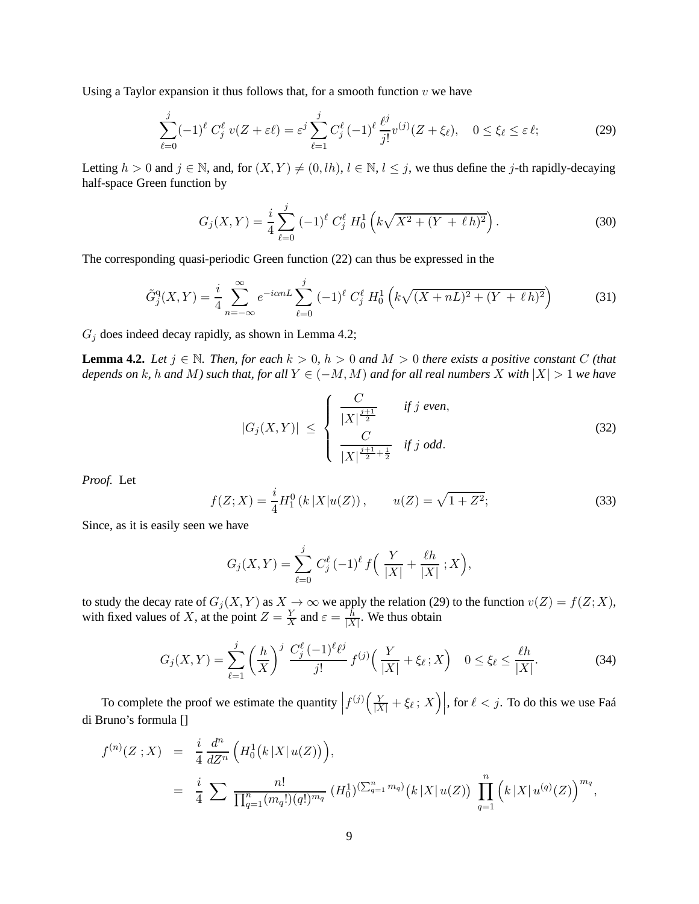Using a Taylor expansion it thus follows that, for a smooth function  $v$  we have

$$
\sum_{\ell=0}^{j} (-1)^{\ell} C_j^{\ell} v(Z + \varepsilon \ell) = \varepsilon^j \sum_{\ell=1}^{j} C_j^{\ell} (-1)^{\ell} \frac{\ell^j}{j!} v^{(j)}(Z + \xi_{\ell}), \quad 0 \le \xi_{\ell} \le \varepsilon \ell; \tag{29}
$$

Letting  $h > 0$  and  $j \in \mathbb{N}$ , and, for  $(X, Y) \neq (0, lh)$ ,  $l \in \mathbb{N}$ ,  $l \leq j$ , we thus define the j-th rapidly-decaying half-space Green function by

$$
G_j(X,Y) = \frac{i}{4} \sum_{\ell=0}^j (-1)^{\ell} C_j^{\ell} H_0^1 \left( k \sqrt{X^2 + (Y + \ell h)^2} \right).
$$
 (30)

The corresponding quasi-periodic Green function (22) can thus be expressed in the

$$
\tilde{G}_{j}^{\mathbf{q}}(X,Y) = \frac{i}{4} \sum_{n=-\infty}^{\infty} e^{-i\alpha n L} \sum_{\ell=0}^{j} (-1)^{\ell} C_{j}^{\ell} H_{0}^{1}\left(k\sqrt{(X+nL)^{2} + (Y+\ell h)^{2}}\right)
$$
(31)

 $G_j$  does indeed decay rapidly, as shown in Lemma 4.2;

**Lemma 4.2.** *Let*  $j \in \mathbb{N}$ *. Then, for each*  $k > 0$ ,  $h > 0$  *and*  $M > 0$  *there exists a positive constant* C *(that depends on* k, h and M) such that, for all  $Y \in (-M, M)$  and for all real numbers X with  $|X| > 1$  we have

$$
|G_j(X,Y)| \leq \begin{cases} \frac{C}{|X|^{\frac{j+1}{2}}} & \text{if } j \text{ even,} \\ \frac{C}{|X|^{\frac{j+1}{2}+\frac{1}{2}}} & \text{if } j \text{ odd.} \end{cases}
$$
(32)

*Proof.* Let

$$
f(Z;X) = \frac{i}{4}H_1^0(k|X|u(Z)), \qquad u(Z) = \sqrt{1+Z^2};
$$
\n(33)

Since, as it is easily seen we have

$$
G_j(X,Y) = \sum_{\ell=0}^j C_j^{\ell} (-1)^{\ell} f\left(\frac{Y}{|X|} + \frac{\ell h}{|X|} ; X\right),
$$

to study the decay rate of  $G_j(X, Y)$  as  $X \to \infty$  we apply the relation (29) to the function  $v(Z) = f(Z; X)$ , with fixed values of X, at the point  $Z = \frac{Y}{X}$  $\frac{Y}{X}$  and  $\varepsilon = \frac{h}{|X|}$  $\frac{h}{|X|}$ . We thus obtain

$$
G_j(X,Y) = \sum_{\ell=1}^j \left(\frac{h}{X}\right)^j \frac{C_j^{\ell}(-1)^{\ell} \ell^j}{j!} f^{(j)}\left(\frac{Y}{|X|} + \xi_{\ell}; X\right) \quad 0 \le \xi_{\ell} \le \frac{\ell h}{|X|}.
$$
 (34)

To complete the proof we estimate the quantity  $\left|f^{(j)}\left(\frac{Y}{|X|} + \xi_{\ell}; X\right)\right|$ , for  $\ell < j$ . To do this we use Faá di Bruno's formula []

$$
f^{(n)}(Z;X) = \frac{i}{4} \frac{d^n}{dZ^n} \left( H_0^1(k|X|u(Z)) \right),
$$
  
= 
$$
\frac{i}{4} \sum \frac{n!}{\prod_{q=1}^n (m_q!)(q!)^{m_q}} (H_0^1)^{(\sum_{q=1}^n m_q)} (k|X|u(Z)) \prod_{q=1}^n (k|X|u^{(q)}(Z))^{m_q},
$$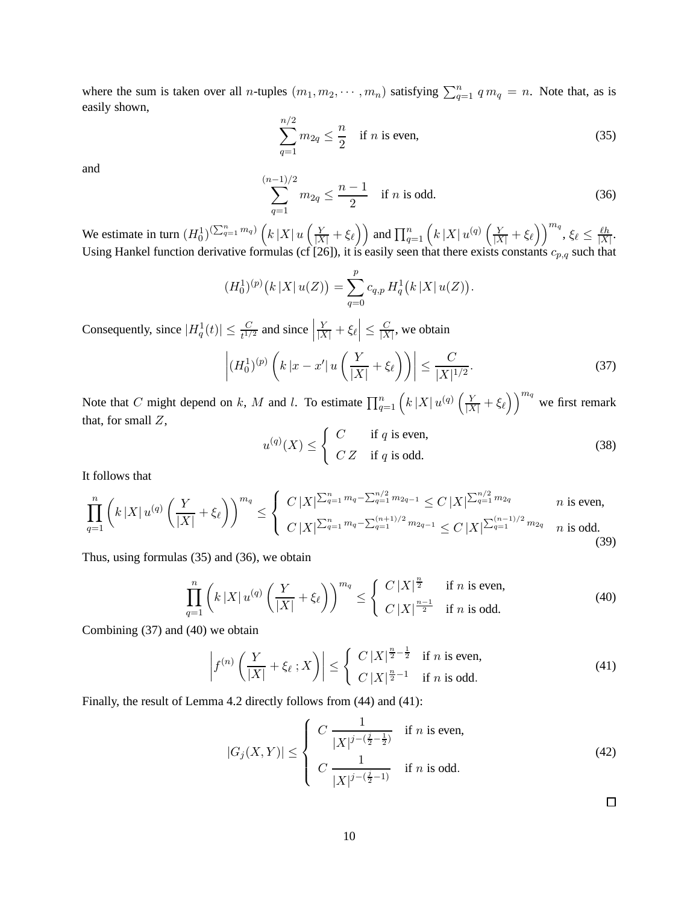where the sum is taken over all *n*-tuples  $(m_1, m_2, \dots, m_n)$  satisfying  $\sum_{q=1}^n q m_q = n$ . Note that, as is easily shown,

$$
\sum_{q=1}^{n/2} m_{2q} \le \frac{n}{2} \quad \text{if } n \text{ is even}, \tag{35}
$$

and

$$
\sum_{q=1}^{n-1/2} m_{2q} \le \frac{n-1}{2} \quad \text{if } n \text{ is odd.} \tag{36}
$$

We estimate in turn  $(H_0^1)^{(\sum_{q=1}^n m_q)} (k|X| u(\frac{Y}{|X|} + \xi_\ell))$  and  $\prod_{q=1}^n (k|X| u^{(q)}(\frac{Y}{|X|} + \xi_\ell))^{m_q}$ ,  $\xi_\ell \leq \frac{\ell h}{|X|}$  $\frac{\ell h}{|X|}$ . Using Hankel function derivative formulas (cf [26]), it is easily seen that there exists constants  $c_{p,q}$  such that

$$
(H_0^1)^{(p)}(k|X|u(Z)) = \sum_{q=0}^p c_{q,p} H_q^1(k|X|u(Z)).
$$

Consequently, since  $|H_q^1(t)| \leq \frac{C}{t^{1/2}}$  and since  $\left|\frac{Y}{|X|} + \xi_{\ell}\right| \leq \frac{C}{|X|}$  $\frac{C}{|X|}$ , we obtain

 $\overline{a}$ 

$$
\left| (H_0^1)^{(p)} \left( k \left| x - x' \right| u \left( \frac{Y}{|X|} + \xi_\ell \right) \right) \right| \le \frac{C}{|X|^{1/2}}.
$$
\n(37)

Note that C might depend on k, M and l. To estimate  $\prod_{q=1}^{n} (k |X| u^{(q)} (\frac{Y}{|X|} + \xi_{\ell}) )^{m_q}$  we first remark that, for small  $Z$ ,

$$
u^{(q)}(X) \le \begin{cases} C & \text{if } q \text{ is even,} \\ C Z & \text{if } q \text{ is odd.} \end{cases}
$$
 (38)

It follows that

$$
\prod_{q=1}^{n} \left( k \left| X \right| u^{(q)} \left( \frac{Y}{|X|} + \xi_{\ell} \right) \right)^{m_q} \leq \begin{cases} C \left| X \right| \sum_{q=1}^{n} m_q - \sum_{q=1}^{n/2} m_{2q-1} \leq C \left| X \right| \sum_{q=1}^{n/2} m_{2q} & n \text{ is even,} \\ C \left| X \right| \sum_{q=1}^{n} m_q - \sum_{q=1}^{(n+1)/2} m_{2q-1} \leq C \left| X \right| \sum_{q=1}^{(n-1)/2} m_{2q} & n \text{ is odd.} \end{cases}
$$
\n(39)

Thus, using formulas (35) and (36), we obtain

$$
\prod_{q=1}^{n} \left( k \left| X \right| u^{(q)} \left( \frac{Y}{|X|} + \xi_{\ell} \right) \right)^{m_q} \leq \begin{cases} C \left| X \right|^{\frac{n}{2}} & \text{if } n \text{ is even,} \\ C \left| X \right|^{\frac{n-1}{2}} & \text{if } n \text{ is odd.} \end{cases}
$$
(40)

Combining (37) and (40) we obtain

$$
\left| f^{(n)}\left(\frac{Y}{|X|} + \xi_{\ell} \, ; X\right) \right| \leq \left\{ \begin{array}{ll} C \, |X|^{\frac{n}{2} - \frac{1}{2}} & \text{if } n \text{ is even,} \\ C \, |X|^{\frac{n}{2} - 1} & \text{if } n \text{ is odd.} \end{array} \right. \tag{41}
$$

Finally, the result of Lemma 4.2 directly follows from (44) and (41):

$$
|G_j(X,Y)| \le \begin{cases} C \frac{1}{|X|^{j-(\frac{j}{2}-\frac{1}{2})}} & \text{if } n \text{ is even,} \\ C \frac{1}{|X|^{j-(\frac{j}{2}-1)}} & \text{if } n \text{ is odd.} \end{cases}
$$
 (42)

 $\Box$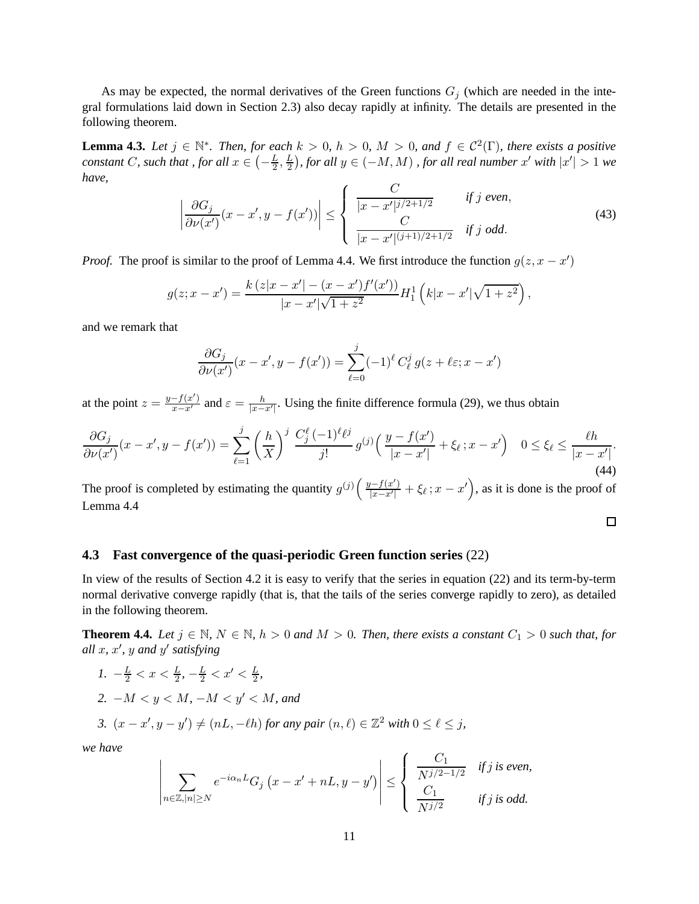As may be expected, the normal derivatives of the Green functions  $G_j$  (which are needed in the integral formulations laid down in Section 2.3) also decay rapidly at infinity. The details are presented in the following theorem.

**Lemma 4.3.** *Let*  $j \in \mathbb{N}^*$ *. Then, for each*  $k > 0$ *,*  $h > 0$ *,*  $M > 0$ *, and*  $f \in C^2(\Gamma)$ *, there exists a positive constant C, such that , for all*  $x \in \left(-\frac{L}{2}\right)$  $\frac{L}{2},\frac{L}{2}$  $\frac{L}{2}$ ), for all y ∈ (−M, M) , for all real number x' with  $|x'|$  > 1 we *have,*

$$
\left| \frac{\partial G_j}{\partial \nu(x')}(x - x', y - f(x')) \right| \le \begin{cases} \frac{C}{|x - x'|^{j/2 + 1/2}} & \text{if } j \text{ even,} \\ \frac{C}{|x - x'|^{(j+1)/2 + 1/2}} & \text{if } j \text{ odd.} \end{cases}
$$
(43)

*Proof.* The proof is similar to the proof of Lemma 4.4. We first introduce the function  $g(z, x - x')$ 

$$
g(z; x - x') = \frac{k(z|x - x'| - (x - x')f'(x'))}{|x - x'|\sqrt{1 + z^2}} H_1^1(k|x - x'|\sqrt{1 + z^2}),
$$

and we remark that

$$
\frac{\partial G_j}{\partial \nu(x')}(x - x', y - f(x')) = \sum_{\ell=0}^j (-1)^\ell C_\ell^j g(z + \ell \varepsilon; x - x')
$$

at the point  $z = \frac{y - f(x')}{x - x'}$  and  $\varepsilon = \frac{h}{|x - x'|}$ . Using the finite difference formula (29), we thus obtain

$$
\frac{\partial G_j}{\partial \nu(x')}(x - x', y - f(x')) = \sum_{\ell=1}^j \left(\frac{h}{X}\right)^j \frac{C_j^{\ell}(-1)^{\ell} \ell^j}{j!} g^{(j)}\left(\frac{y - f(x')}{|x - x'|} + \xi_{\ell}; x - x'\right) \quad 0 \le \xi_{\ell} \le \frac{\ell h}{|x - x'|}. \tag{44}
$$

The proof is completed by estimating the quantity  $g^{(j)}\left(\frac{y-f(x')}{x-x'}\right)$  $\frac{x^{\prime}-f(x^{\prime})}{|x-x^{\prime}|} + \xi_{\ell}$ ;  $x - x^{\prime}$ , as it is done is the proof of Lemma 4.4

 $\Box$ 

### **4.3 Fast convergence of the quasi-periodic Green function series** (22)

In view of the results of Section 4.2 it is easy to verify that the series in equation (22) and its term-by-term normal derivative converge rapidly (that is, that the tails of the series converge rapidly to zero), as detailed in the following theorem.

**Theorem 4.4.** *Let*  $j \in \mathbb{N}$ ,  $N \in \mathbb{N}$ ,  $h > 0$  *and*  $M > 0$ . *Then, there exists a constant*  $C_1 > 0$  *such that, for all* x*,* x ′ *,* y *and* y ′ *satisfying*

\n- 1. 
$$
-\frac{L}{2} < x < \frac{L}{2}, -\frac{L}{2} < x' < \frac{L}{2}
$$
\n- 2.  $-M < y < M, -M < y' < M$ , and
\n- 3.  $(x - x', y - y') \neq (n, -\ell h)$  for any pair  $(n, \ell) \in \mathbb{Z}^2$  with  $0 \leq \ell \leq j$ .
\n

*we have*

 $\overline{\phantom{a}}$  $\overline{\phantom{a}}$ I  $\overline{\phantom{a}}$ I  $\overline{\phantom{a}}$ 

$$
\sum_{n\in\mathbb{Z},|n|\geq N}e^{-i\alpha_n L}G_j\left(x-x'+nL,y-y'\right)\leq \left\{\begin{array}{cc}\frac{C_1}{N^{j/2-1/2}} & \text{if }j\text{ is even,} \\ \frac{C_1}{N^{j/2}} & \text{if }j\text{ is odd.}\end{array}\right.
$$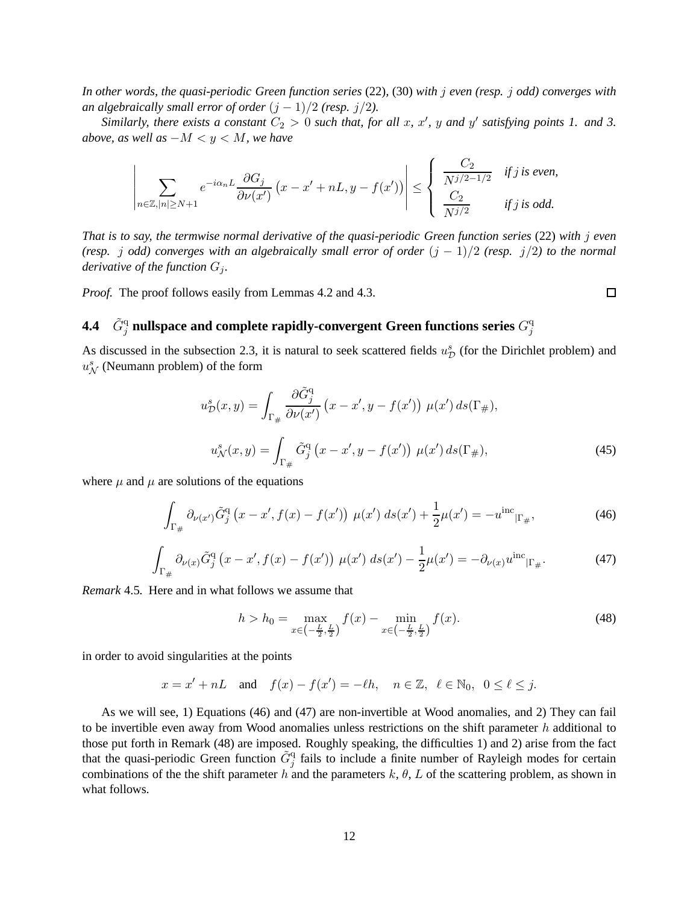*In other words, the quasi-periodic Green function series* (22)*,* (30) *with* j *even (resp.* j *odd) converges with an algebraically small error of order*  $(j - 1)/2$  *(resp.*  $j/2$ *).* 

*Similarly, there exists a constant*  $C_2 > 0$  *such that, for all x, x', y and y' satisfying points 1. and 3. above, as well as*  $-M < y < M$ *, we have* 

$$
\left|\sum_{n\in\mathbb{Z},|n|\geq N+1}e^{-i\alpha_n L}\frac{\partial G_j}{\partial\nu(x')}\left(x-x'+nL,y-f(x')\right)\right|\leq \left\{\begin{array}{cc}\frac{C_2}{N^{j/2-1/2}} & \text{if }j\text{ is even,} \\ \frac{C_2}{N^{j/2}} & \text{if }j\text{ is odd.}\end{array}\right.
$$

*That is to say, the termwise normal derivative of the quasi-periodic Green function series* (22) *with* j *even (resp. j odd)* converges with an algebraically small error of order  $(j - 1)/2$  *(resp.*  $j/2$ *) to the normal derivative of the function*  $G_j$ *.* 

*Proof.* The proof follows easily from Lemmas 4.2 and 4.3.

#### 4.4  $-\tilde{G}^{\mathrm{q}}_j$  nullspace and complete rapidly-convergent Green functions series  $G^{\mathrm{q}}_j$ j

As discussed in the subsection 2.3, it is natural to seek scattered fields  $u_{\mathcal{D}}^s$  (for the Dirichlet problem) and  $u^s_N$  (Neumann problem) of the form

$$
u_{\mathcal{D}}^s(x,y) = \int_{\Gamma_{\#}} \frac{\partial \tilde{G}_j^{\mathbf{q}}}{\partial \nu(x')} \left( x - x', y - f(x') \right) \mu(x') \, ds(\Gamma_{\#}),
$$

$$
u_{\mathcal{N}}^s(x,y) = \int_{\Gamma_{\#}} \tilde{G}_j^{\mathbf{q}} \left( x - x', y - f(x') \right) \mu(x') \, ds(\Gamma_{\#}), \tag{45}
$$

 $\Box$ 

where  $\mu$  and  $\mu$  are solutions of the equations

$$
\int_{\Gamma_{\#}} \partial_{\nu(x')} \tilde{G}_j^{\mathbf{q}} \left( x - x', f(x) - f(x') \right) \, \mu(x') \, ds(x') + \frac{1}{2} \mu(x') = -u^{\rm inc} \vert_{\Gamma_{\#}},\tag{46}
$$

$$
\int_{\Gamma_{\#}} \partial_{\nu(x)} \tilde{G}^{\mathbf{q}}_{j} (x - x', f(x) - f(x')) \mu(x') \ ds(x') - \frac{1}{2} \mu(x') = -\partial_{\nu(x)} u^{\text{inc}} |_{\Gamma_{\#}}.
$$
 (47)

*Remark* 4.5*.* Here and in what follows we assume that

$$
h > h_0 = \max_{x \in \left(-\frac{L}{2}, \frac{L}{2}\right)} f(x) - \min_{x \in \left(-\frac{L}{2}, \frac{L}{2}\right)} f(x). \tag{48}
$$

in order to avoid singularities at the points

$$
x = x' + nL
$$
 and  $f(x) - f(x') = -\ell h$ ,  $n \in \mathbb{Z}$ ,  $\ell \in \mathbb{N}_0$ ,  $0 \le \ell \le j$ .

As we will see, 1) Equations (46) and (47) are non-invertible at Wood anomalies, and 2) They can fail to be invertible even away from Wood anomalies unless restrictions on the shift parameter  $h$  additional to those put forth in Remark (48) are imposed. Roughly speaking, the difficulties 1) and 2) arise from the fact that the quasi-periodic Green function  $\tilde{G}_j^q$  fails to include a finite number of Rayleigh modes for certain combinations of the the shift parameter h and the parameters  $k$ ,  $\theta$ ,  $L$  of the scattering problem, as shown in what follows.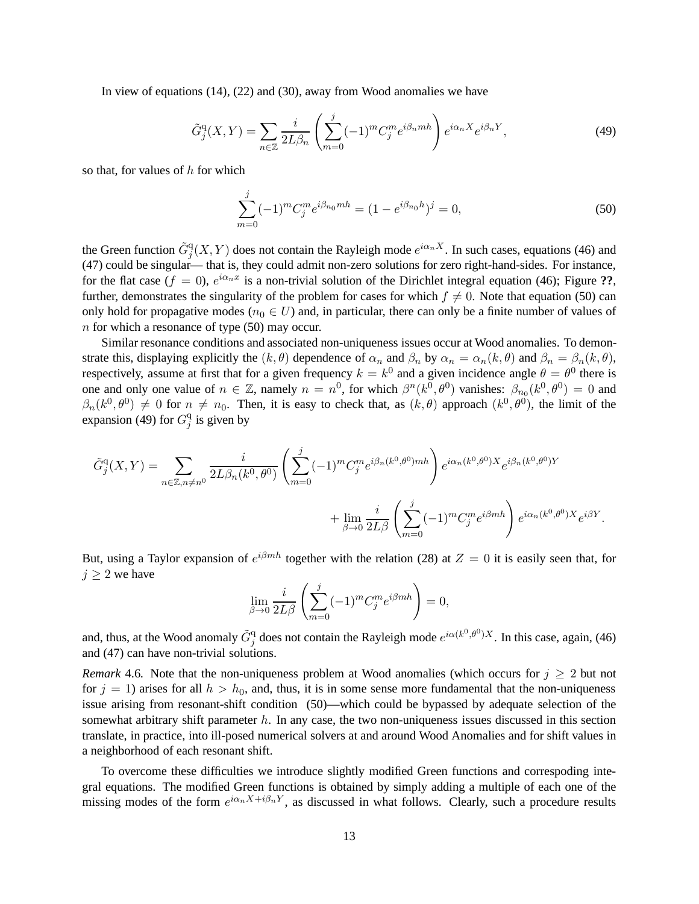In view of equations (14), (22) and (30), away from Wood anomalies we have

$$
\tilde{G}_{j}^{\mathbf{q}}(X,Y) = \sum_{n \in \mathbb{Z}} \frac{i}{2L\beta_{n}} \left( \sum_{m=0}^{j} (-1)^{m} C_{j}^{m} e^{i\beta_{n} m h} \right) e^{i\alpha_{n} X} e^{i\beta_{n} Y}, \tag{49}
$$

so that, for values of  $h$  for which

$$
\sum_{m=0}^{j} (-1)^m C_j^m e^{i\beta_{n_0} m h} = (1 - e^{i\beta_{n_0} h})^j = 0,
$$
\n(50)

the Green function  $\tilde{G}^{\rm q}_j(X, Y)$  does not contain the Rayleigh mode  $e^{i\alpha_n X}$ . In such cases, equations (46) and (47) could be singular— that is, they could admit non-zero solutions for zero right-hand-sides. For instance, for the flat case  $(f = 0)$ ,  $e^{i\alpha_n x}$  is a non-trivial solution of the Dirichlet integral equation (46); Figure ??, further, demonstrates the singularity of the problem for cases for which  $f \neq 0$ . Note that equation (50) can only hold for propagative modes ( $n_0 \in U$ ) and, in particular, there can only be a finite number of values of n for which a resonance of type (50) may occur.

Similar resonance conditions and associated non-uniqueness issues occur at Wood anomalies. To demonstrate this, displaying explicitly the  $(k, \theta)$  dependence of  $\alpha_n$  and  $\beta_n$  by  $\alpha_n = \alpha_n(k, \theta)$  and  $\beta_n = \beta_n(k, \theta)$ , respectively, assume at first that for a given frequency  $k = k^0$  and a given incidence angle  $\theta = \theta^0$  there is one and only one value of  $n \in \mathbb{Z}$ , namely  $n = n^0$ , for which  $\beta^n(k^0, \theta^0)$  vanishes:  $\beta_{n_0}(k^0, \theta^0) = 0$  and  $\beta_n(k^0, \theta^0) \neq 0$  for  $n \neq n_0$ . Then, it is easy to check that, as  $(k, \theta)$  approach  $(k^0, \theta^0)$ , the limit of the expansion (49) for  $G_i^q$  $j$  is given by

$$
\tilde{G}_{j}^{\mathbf{q}}(X,Y) = \sum_{n \in \mathbb{Z}, n \neq n^{0}} \frac{i}{2L\beta_{n}(k^{0},\theta^{0})} \left( \sum_{m=0}^{j} (-1)^{m} C_{j}^{m} e^{i\beta_{n}(k^{0},\theta^{0})m h} \right) e^{i\alpha_{n}(k^{0},\theta^{0})X} e^{i\beta_{n}(k^{0},\theta^{0})Y} + \lim_{\beta \to 0} \frac{i}{2L\beta} \left( \sum_{m=0}^{j} (-1)^{m} C_{j}^{m} e^{i\beta m h} \right) e^{i\alpha_{n}(k^{0},\theta^{0})X} e^{i\beta Y}.
$$

But, using a Taylor expansion of  $e^{i\beta m h}$  together with the relation (28) at  $Z = 0$  it is easily seen that, for  $j \geq 2$  we have

$$
\lim_{\beta \to 0} \frac{i}{2L\beta} \left( \sum_{m=0}^{j} (-1)^m C_j^m e^{i\beta m h} \right) = 0,
$$

and, thus, at the Wood anomaly  $\tilde{G}_j^q$  does not contain the Rayleigh mode  $e^{i\alpha(k^0,\theta^0)}$ . In this case, again, (46) and (47) can have non-trivial solutions.

*Remark* 4.6. Note that the non-uniqueness problem at Wood anomalies (which occurs for  $j \geq 2$  but not for  $j = 1$ ) arises for all  $h > h_0$ , and, thus, it is in some sense more fundamental that the non-uniqueness issue arising from resonant-shift condition (50)—which could be bypassed by adequate selection of the somewhat arbitrary shift parameter  $h$ . In any case, the two non-uniqueness issues discussed in this section translate, in practice, into ill-posed numerical solvers at and around Wood Anomalies and for shift values in a neighborhood of each resonant shift.

To overcome these difficulties we introduce slightly modified Green functions and correspoding integral equations. The modified Green functions is obtained by simply adding a multiple of each one of the missing modes of the form  $e^{i\alpha_nX+i\beta_nY}$ , as discussed in what follows. Clearly, such a procedure results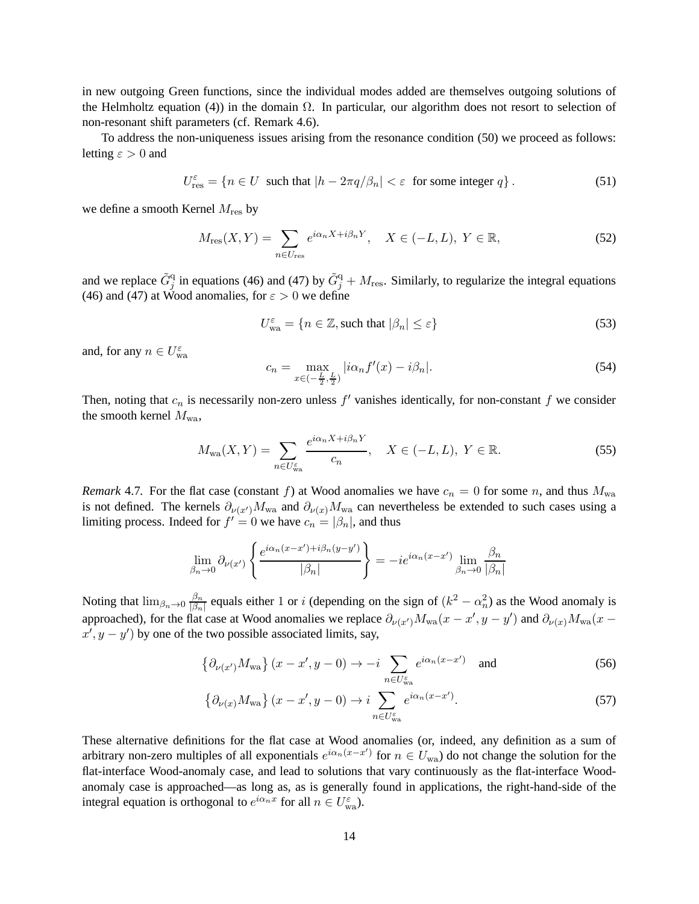in new outgoing Green functions, since the individual modes added are themselves outgoing solutions of the Helmholtz equation (4)) in the domain  $\Omega$ . In particular, our algorithm does not resort to selection of non-resonant shift parameters (cf. Remark 4.6).

To address the non-uniqueness issues arising from the resonance condition (50) we proceed as follows: letting  $\varepsilon > 0$  and

$$
U_{\text{res}}^{\varepsilon} = \{ n \in U \text{ such that } |h - 2\pi q/\beta_n| < \varepsilon \text{ for some integer } q \}. \tag{51}
$$

we define a smooth Kernel  $M_{\text{res}}$  by

$$
M_{\rm res}(X,Y) = \sum_{n \in U_{\rm res}} e^{i\alpha_n X + i\beta_n Y}, \quad X \in (-L,L), \ Y \in \mathbb{R},\tag{52}
$$

and we replace  $\tilde{G}_j^q$  in equations (46) and (47) by  $\tilde{G}_j^q + M_{\text{res}}$ . Similarly, to regularize the integral equations (46) and (47) at Wood anomalies, for  $\varepsilon > 0$  we define

$$
U_{\text{wa}}^{\varepsilon} = \{ n \in \mathbb{Z}, \text{such that } |\beta_n| \le \varepsilon \}
$$
 (53)

and, for any  $n \in U_{\text{wa}}^{\varepsilon}$ 

$$
c_n = \max_{x \in \left(-\frac{L}{2}, \frac{L}{2}\right)} |i\alpha_n f'(x) - i\beta_n|.
$$
\n
$$
(54)
$$

Then, noting that  $c_n$  is necessarily non-zero unless  $f'$  vanishes identically, for non-constant  $f$  we consider the smooth kernel  $M_{\text{wa}}$ ,

$$
M_{\text{wa}}(X,Y) = \sum_{n \in U_{\text{wa}}^{\varepsilon}} \frac{e^{i\alpha_n X + i\beta_n Y}}{c_n}, \quad X \in (-L,L), \ Y \in \mathbb{R}.
$$

*Remark* 4.7. For the flat case (constant f) at Wood anomalies we have  $c_n = 0$  for some n, and thus  $M_{wa}$ is not defined. The kernels  $\partial_{\nu(x')} M_{wa}$  and  $\partial_{\nu(x)} M_{wa}$  can nevertheless be extended to such cases using a limiting process. Indeed for  $f' = 0$  we have  $c_n = |\beta_n|$ , and thus

$$
\lim_{\beta_n \to 0} \partial_{\nu(x')} \left\{ \frac{e^{i\alpha_n(x-x')+i\beta_n(y-y')}}{|\beta_n|} \right\} = -ie^{i\alpha_n(x-x')} \lim_{\beta_n \to 0} \frac{\beta_n}{|\beta_n|}
$$

Noting that  $\lim_{\beta_n \to 0} \frac{\beta_n}{|\beta_n|}$  $\frac{\beta_n}{|\beta_n|}$  equals either 1 or *i* (depending on the sign of  $(k^2 - \alpha_n^2)$  as the Wood anomaly is approached), for the flat case at Wood anomalies we replace  $\partial_{\nu(x')} M_{wa}(x - x', y - y')$  and  $\partial_{\nu(x)} M_{wa}(x - x', y - y')$  $x', y - y'$  by one of the two possible associated limits, say,

$$
\left\{\partial_{\nu(x')}M_{\text{wa}}\right\}(x-x',y-0)\to -i\sum_{n\in U_{\text{wa}}^{\varepsilon}}e^{i\alpha_n(x-x')}\quad\text{and}\tag{56}
$$

$$
\left\{\partial_{\nu(x)} M_{\text{wa}}\right\} (x - x', y - 0) \to i \sum_{n \in U_{\text{wa}}^{\varepsilon}} e^{i\alpha_n(x - x')}.
$$
\n(57)

These alternative definitions for the flat case at Wood anomalies (or, indeed, any definition as a sum of arbitrary non-zero multiples of all exponentials  $e^{i\alpha_n(x-x')}$  for  $n \in U_{wa}$ ) do not change the solution for the flat-interface Wood-anomaly case, and lead to solutions that vary continuously as the flat-interface Woodanomaly case is approached—as long as, as is generally found in applications, the right-hand-side of the integral equation is orthogonal to  $e^{i\alpha_n x}$  for all  $n \in U_{\text{wa}}^{\varepsilon}$ ).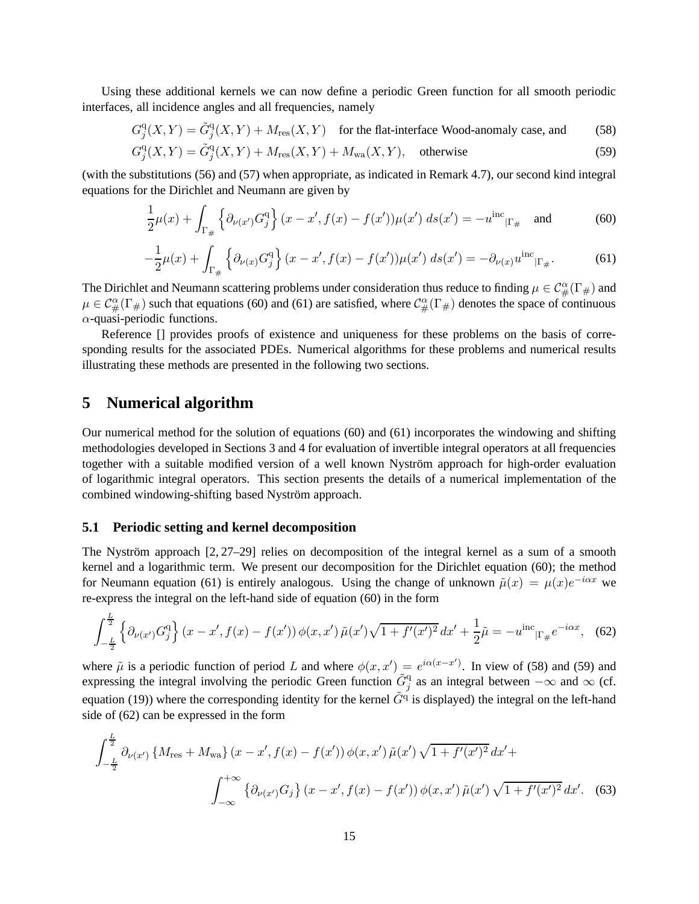Using these additional kernels we can now define a periodic Green function for all smooth periodic interfaces, all incidence angles and all frequencies, namely

$$
G_j^{\rm q}(X,Y) = \tilde{G}_j^{\rm q}(X,Y) + M_{\rm res}(X,Y) \quad \text{for the flat-interface Wood-anomaly case, and} \tag{58}
$$

$$
G_j^{\mathbf{q}}(X,Y) = \tilde{G}_j^{\mathbf{q}}(X,Y) + M_{\text{res}}(X,Y) + M_{\text{wa}}(X,Y), \quad \text{otherwise}
$$
\n(59)

(with the substitutions (56) and (57) when appropriate, as indicated in Remark 4.7), our second kind integral equations for the Dirichlet and Neumann are given by

$$
\frac{1}{2}\mu(x) + \int_{\Gamma_{\#}} \left\{ \partial_{\nu(x')} G_j^{\mathbf{q}} \right\} (x - x', f(x) - f(x')) \mu(x') \, ds(x') = -u^{\text{inc}}_{|\Gamma_{\#}} \quad \text{and} \tag{60}
$$

$$
-\frac{1}{2}\mu(x) + \int_{\Gamma_{\#}} \left\{ \partial_{\nu(x)} G_j^{\mathfrak{q}} \right\} (x - x', f(x) - f(x')) \mu(x') \, ds(x') = -\partial_{\nu(x)} u^{\text{inc}}|_{\Gamma_{\#}}.
$$
 (61)

The Dirichlet and Neumann scattering problems under consideration thus reduce to finding  $\mu \in C^{\alpha}_{\#}(\Gamma_{\#})$  and  $\mu \in C^{\alpha}_{\#}(\Gamma_{\#})$  such that equations (60) and (61) are satisfied, where  $C^{\alpha}_{\#}(\Gamma_{\#})$  denotes the space of continuous  $\alpha$ -quasi-periodic functions.

Reference  $\Box$  provides proofs of existence and uniqueness for these problems on the basis of corresponding results for the associated PDEs. Numerical algorithms for these problems and numerical results illustrating these methods are presented in the following two sections.

### **5 Numerical algorithm**

Our numerical method for the solution of equations (60) and (61) incorporates the windowing and shifting methodologies developed in Sections 3 and 4 for evaluation of invertible integral operators at all frequencies together with a suitable modified version of a well known Nyström approach for high-order evaluation of logarithmic integral operators. This section presents the details of a numerical implementation of the combined windowing-shifting based Nyström approach.

#### **5.1 Periodic setting and kernel decomposition**

The Nyström approach [2, 27–29] relies on decomposition of the integral kernel as a sum of a smooth kernel and a logarithmic term. We present our decomposition for the Dirichlet equation (60); the method for Neumann equation (61) is entirely analogous. Using the change of unknown  $\tilde{\mu}(x) = \mu(x)e^{-i\alpha x}$  we re-express the integral on the left-hand side of equation (60) in the form

$$
\int_{-\frac{L}{2}}^{\frac{L}{2}} \left\{ \partial_{\nu(x')} G_j^{\mathbf{q}} \right\} (x - x', f(x) - f(x')) \, \phi(x, x') \, \tilde{\mu}(x') \sqrt{1 + f'(x')^2} \, dx' + \frac{1}{2} \tilde{\mu} = -u^{\text{inc}} \Big|_{\Gamma_{\#}} e^{-i\alpha x}, \tag{62}
$$

where  $\tilde{\mu}$  is a periodic function of period L and where  $\phi(x, x') = e^{i\alpha(x-x')}$ . In view of (58) and (59) and expressing the integral involving the periodic Green function  $\tilde{G}^q_j$  as an integral between  $-\infty$  and  $\infty$  (cf. equation (19)) where the corresponding identity for the kernel  $\tilde{G}^{\text{q}}$  is displayed) the integral on the left-hand side of (62) can be expressed in the form

$$
\int_{-\frac{L}{2}}^{\frac{L}{2}} \partial_{\nu(x')} \left\{ M_{\text{res}} + M_{\text{wa}} \right\} (x - x', f(x) - f(x')) \phi(x, x') \tilde{\mu}(x') \sqrt{1 + f'(x')^2} \, dx' +
$$
\n
$$
\int_{-\infty}^{+\infty} \left\{ \partial_{\nu(x')} G_j \right\} (x - x', f(x) - f(x')) \phi(x, x') \tilde{\mu}(x') \sqrt{1 + f'(x')^2} \, dx'. \tag{63}
$$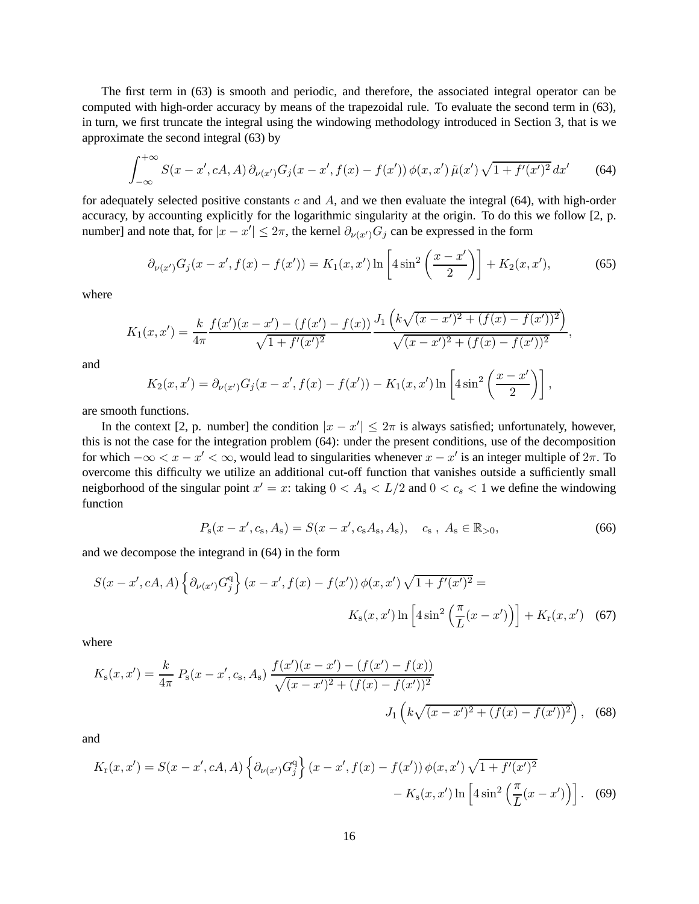The first term in (63) is smooth and periodic, and therefore, the associated integral operator can be computed with high-order accuracy by means of the trapezoidal rule. To evaluate the second term in (63), in turn, we first truncate the integral using the windowing methodology introduced in Section 3, that is we approximate the second integral (63) by

$$
\int_{-\infty}^{+\infty} S(x - x', cA, A) \, \partial_{\nu(x')} G_j(x - x', f(x) - f(x')) \, \phi(x, x') \, \tilde{\mu}(x') \, \sqrt{1 + f'(x')^2} \, dx' \tag{64}
$$

for adequately selected positive constants c and  $A$ , and we then evaluate the integral (64), with high-order accuracy, by accounting explicitly for the logarithmic singularity at the origin. To do this we follow [2, p. number] and note that, for  $|x - x'| \leq 2\pi$ , the kernel  $\partial_{\nu(x')} G_j$  can be expressed in the form

$$
\partial_{\nu(x')} G_j(x - x', f(x) - f(x')) = K_1(x, x') \ln \left[ 4 \sin^2 \left( \frac{x - x'}{2} \right) \right] + K_2(x, x'), \tag{65}
$$

where

$$
K_1(x,x') = \frac{k}{4\pi} \frac{f(x')(x-x') - (f(x') - f(x))}{\sqrt{1 + f'(x')^2}} \frac{J_1\left(k\sqrt{(x-x')^2 + (f(x) - f(x'))^2}\right)}{\sqrt{(x-x')^2 + (f(x) - f(x'))^2}},
$$

and

$$
K_2(x, x') = \partial_{\nu(x')} G_j(x - x', f(x) - f(x')) - K_1(x, x') \ln \left[4 \sin^2 \left(\frac{x - x'}{2}\right)\right],
$$

are smooth functions.

In the context [2, p. number] the condition  $|x - x'| \leq 2\pi$  is always satisfied; unfortunately, however, this is not the case for the integration problem (64): under the present conditions, use of the decomposition for which  $-\infty < x - x' < \infty$ , would lead to singularities whenever  $x - x'$  is an integer multiple of  $2\pi$ . To overcome this difficulty we utilize an additional cut-off function that vanishes outside a sufficiently small neigborhood of the singular point  $x' = x$ : taking  $0 < A_s < L/2$  and  $0 < c_s < 1$  we define the windowing function

$$
P_{\rm s}(x-x',c_{\rm s},A_{\rm s})=S(x-x',c_{\rm s}A_{\rm s},A_{\rm s}),\quad c_{\rm s},\ A_{\rm s}\in\mathbb{R}_{>0},\tag{66}
$$

and we decompose the integrand in (64) in the form

$$
S(x - x', cA, A) \left\{ \partial_{\nu(x')} G_j^{\mathbf{q}} \right\} (x - x', f(x) - f(x')) \phi(x, x') \sqrt{1 + f'(x')^2} =
$$
  

$$
K_{\mathbf{s}}(x, x') \ln \left[ 4 \sin^2 \left( \frac{\pi}{L} (x - x') \right) \right] + K_{\mathbf{r}}(x, x') \quad (67)
$$

where

$$
K_{\rm s}(x, x') = \frac{k}{4\pi} \, P_{\rm s}(x - x', c_{\rm s}, A_{\rm s}) \, \frac{f(x')(x - x') - (f(x') - f(x))}{\sqrt{(x - x')^2 + (f(x) - f(x'))^2}} \, J_1\left(k\sqrt{(x - x')^2 + (f(x) - f(x'))^2}\right), \tag{68}
$$

and

$$
K_{\rm r}(x, x') = S(x - x', cA, A) \left\{ \partial_{\nu(x')} G_j^{\rm q} \right\} (x - x', f(x) - f(x')) \phi(x, x') \sqrt{1 + f'(x')^2} -K_{\rm s}(x, x') \ln \left[ 4 \sin^2 \left( \frac{\pi}{L} (x - x') \right) \right].
$$
 (69)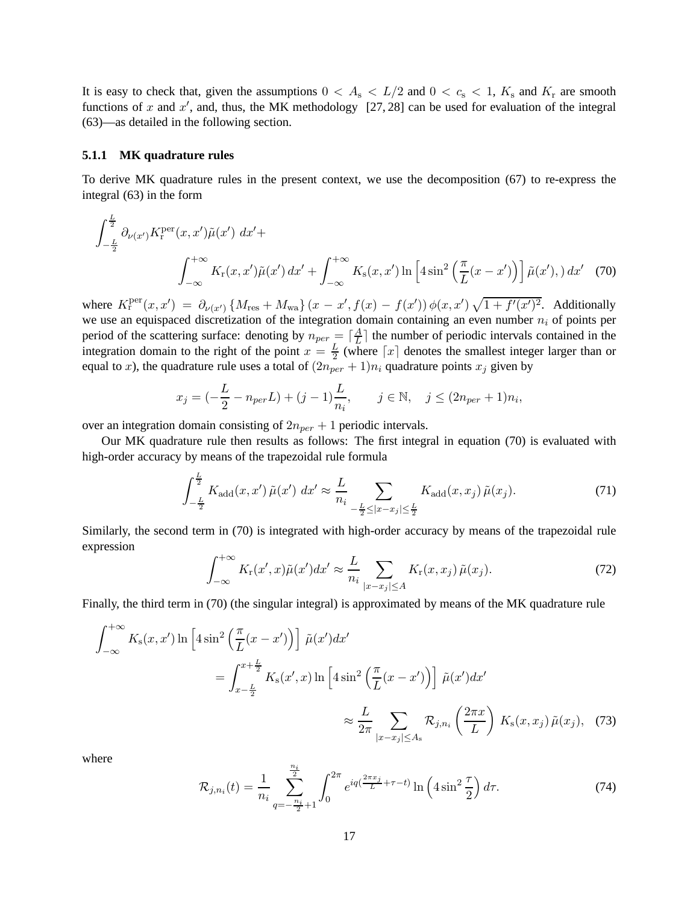It is easy to check that, given the assumptions  $0 < A_s < L/2$  and  $0 < c_s < 1$ ,  $K_s$  and  $K_r$  are smooth functions of x and  $x'$ , and, thus, the MK methodology [27, 28] can be used for evaluation of the integral (63)—as detailed in the following section.

#### **5.1.1 MK quadrature rules**

To derive MK quadrature rules in the present context, we use the decomposition (67) to re-express the integral (63) in the form

$$
\int_{-\frac{L}{2}}^{\frac{L}{2}} \partial_{\nu(x')} K_{\rm r}^{\rm per}(x, x') \tilde{\mu}(x') dx' +
$$
\n
$$
\int_{-\infty}^{+\infty} K_{\rm r}(x, x') \tilde{\mu}(x') dx' + \int_{-\infty}^{+\infty} K_{\rm s}(x, x') \ln \left[4 \sin^2 \left(\frac{\pi}{L}(x - x')\right)\right] \tilde{\mu}(x'), \, dx' \quad (70)
$$

where  $K_{\rm r}^{\rm per}(x,x') = \partial_{\nu(x')} \{ M_{\rm res} + M_{\rm wa} \} (x - x', f(x) - f(x')) \phi(x,x') \sqrt{1 + f'(x')^2}$ . Additionally we use an equispaced discretization of the integration domain containing an even number  $n_i$  of points per period of the scattering surface: denoting by  $n_{per} = \left\lceil \frac{A}{L} \right\rceil$  $\frac{A}{L}$  the number of periodic intervals contained in the integration domain to the right of the point  $x = \frac{L}{2}$  $\frac{L}{2}$  (where  $\lceil x \rceil$  denotes the smallest integer larger than or equal to x), the quadrature rule uses a total of  $(2n<sub>per</sub> + 1)n<sub>i</sub>$  quadrature points  $x<sub>j</sub>$  given by

$$
x_j = (-\frac{L}{2} - n_{per}L) + (j - 1)\frac{L}{n_i}, \quad j \in \mathbb{N}, \quad j \le (2n_{per} + 1)n_i,
$$

over an integration domain consisting of  $2n_{per} + 1$  periodic intervals.

Our MK quadrature rule then results as follows: The first integral in equation (70) is evaluated with high-order accuracy by means of the trapezoidal rule formula

$$
\int_{-\frac{L}{2}}^{\frac{L}{2}} K_{\text{add}}(x, x') \tilde{\mu}(x') dx' \approx \frac{L}{n_i} \sum_{-\frac{L}{2} \le |x - x_j| \le \frac{L}{2}} K_{\text{add}}(x, x_j) \tilde{\mu}(x_j). \tag{71}
$$

Similarly, the second term in (70) is integrated with high-order accuracy by means of the trapezoidal rule expression

$$
\int_{-\infty}^{+\infty} K_{\mathbf{r}}(x',x)\tilde{\mu}(x')dx' \approx \frac{L}{n_i} \sum_{|x-x_j| \le A} K_{\mathbf{r}}(x,x_j)\,\tilde{\mu}(x_j). \tag{72}
$$

Finally, the third term in (70) (the singular integral) is approximated by means of the MK quadrature rule

$$
\int_{-\infty}^{+\infty} K_s(x, x') \ln \left[ 4 \sin^2 \left( \frac{\pi}{L} (x - x') \right) \right] \tilde{\mu}(x') dx'
$$
  

$$
= \int_{x - \frac{L}{2}}^{x + \frac{L}{2}} K_s(x', x) \ln \left[ 4 \sin^2 \left( \frac{\pi}{L} (x - x') \right) \right] \tilde{\mu}(x') dx'
$$
  

$$
\approx \frac{L}{2\pi} \sum_{|x - x_j| \le A_s} \mathcal{R}_{j, n_i} \left( \frac{2\pi x}{L} \right) K_s(x, x_j) \tilde{\mu}(x_j), \quad (73)
$$

where

$$
\mathcal{R}_{j,n_i}(t) = \frac{1}{n_i} \sum_{q=-\frac{n_i}{2}+1}^{\frac{n_i}{2}} \int_0^{2\pi} e^{iq(\frac{2\pi x_j}{L} + \tau - t)} \ln\left(4\sin^2\frac{\tau}{2}\right) d\tau.
$$
 (74)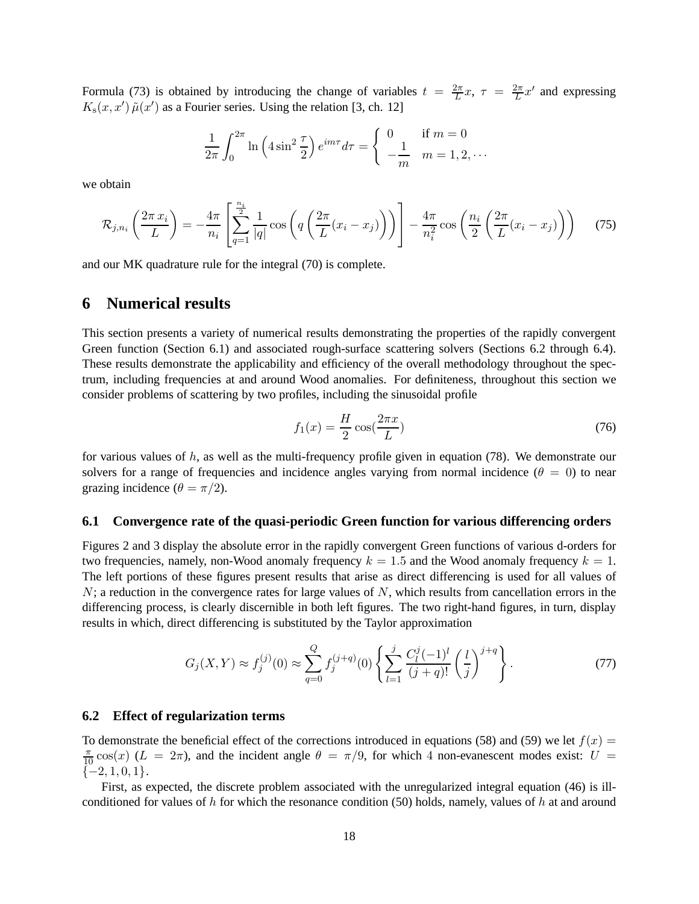Formula (73) is obtained by introducing the change of variables  $t = \frac{2\pi}{L}$  $\frac{2\pi}{L}x, \tau = \frac{2\pi}{L}$  $\frac{2\pi}{L}x'$  and expressing  $K_s(x, x') \tilde{\mu}(x')$  as a Fourier series. Using the relation [3, ch. 12]

$$
\frac{1}{2\pi} \int_0^{2\pi} \ln\left(4\sin^2\frac{\tau}{2}\right) e^{im\tau} d\tau = \begin{cases} 0 & \text{if } m = 0\\ -\frac{1}{m} & m = 1, 2, \cdots \end{cases}
$$

we obtain

$$
\mathcal{R}_{j,n_i}\left(\frac{2\pi x_i}{L}\right) = -\frac{4\pi}{n_i} \left[ \sum_{q=1}^{\frac{n_i}{2}} \frac{1}{|q|} \cos\left(q\left(\frac{2\pi}{L}(x_i - x_j)\right)\right) \right] - \frac{4\pi}{n_i^2} \cos\left(\frac{n_i}{2}\left(\frac{2\pi}{L}(x_i - x_j)\right)\right) \tag{75}
$$

and our MK quadrature rule for the integral (70) is complete.

# **6 Numerical results**

This section presents a variety of numerical results demonstrating the properties of the rapidly convergent Green function (Section 6.1) and associated rough-surface scattering solvers (Sections 6.2 through 6.4). These results demonstrate the applicability and efficiency of the overall methodology throughout the spectrum, including frequencies at and around Wood anomalies. For definiteness, throughout this section we consider problems of scattering by two profiles, including the sinusoidal profile

$$
f_1(x) = \frac{H}{2}\cos(\frac{2\pi x}{L})\tag{76}
$$

for various values of  $h$ , as well as the multi-frequency profile given in equation (78). We demonstrate our solvers for a range of frequencies and incidence angles varying from normal incidence  $(\theta = 0)$  to near grazing incidence ( $\theta = \pi/2$ ).

### **6.1 Convergence rate of the quasi-periodic Green function for various differencing orders**

Figures 2 and 3 display the absolute error in the rapidly convergent Green functions of various d-orders for two frequencies, namely, non-Wood anomaly frequency  $k = 1.5$  and the Wood anomaly frequency  $k = 1$ . The left portions of these figures present results that arise as direct differencing is used for all values of  $N$ ; a reduction in the convergence rates for large values of N, which results from cancellation errors in the differencing process, is clearly discernible in both left figures. The two right-hand figures, in turn, display results in which, direct differencing is substituted by the Taylor approximation

$$
G_j(X,Y) \approx f_j^{(j)}(0) \approx \sum_{q=0}^{Q} f_j^{(j+q)}(0) \left\{ \sum_{l=1}^{j} \frac{C_l^j(-1)^l}{(j+q)!} \left(\frac{l}{j}\right)^{j+q} \right\}.
$$
 (77)

#### **6.2 Effect of regularization terms**

To demonstrate the beneficial effect of the corrections introduced in equations (58) and (59) we let  $f(x) =$  $\frac{\pi}{10}$  cos(x) (L = 2 $\pi$ ), and the incident angle  $\theta = \pi/9$ , for which 4 non-evanescent modes exist: U =  $\{-2, 1, 0, 1\}.$ 

First, as expected, the discrete problem associated with the unregularized integral equation (46) is illconditioned for values of h for which the resonance condition (50) holds, namely, values of h at and around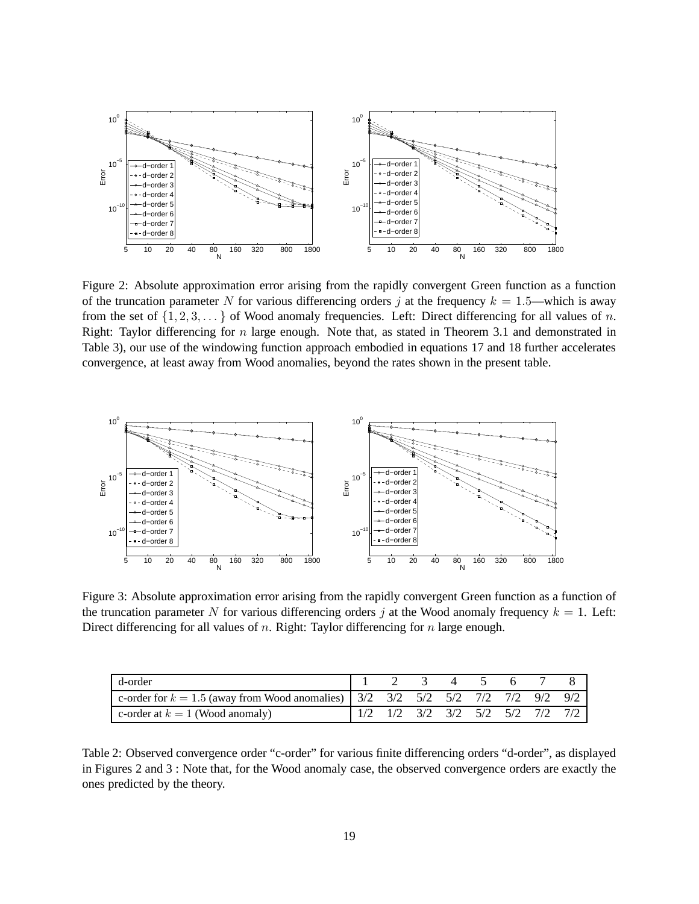

Figure 2: Absolute approximation error arising from the rapidly convergent Green function as a function of the truncation parameter N for various differencing orders j at the frequency  $k = 1.5$ —which is away from the set of  $\{1, 2, 3, \ldots\}$  of Wood anomaly frequencies. Left: Direct differencing for all values of n. Right: Taylor differencing for  $n$  large enough. Note that, as stated in Theorem 3.1 and demonstrated in Table 3), our use of the windowing function approach embodied in equations 17 and 18 further accelerates convergence, at least away from Wood anomalies, beyond the rates shown in the present table.



Figure 3: Absolute approximation error arising from the rapidly convergent Green function as a function of the truncation parameter N for various differencing orders j at the Wood anomaly frequency  $k = 1$ . Left: Direct differencing for all values of  $n$ . Right: Taylor differencing for  $n$  large enough.

| d-order                                                                                                                          |  |  | 2 3 4 5 |  |  |
|----------------------------------------------------------------------------------------------------------------------------------|--|--|---------|--|--|
| c-order for $k = 1.5$ (away from Wood anomalies) $\begin{array}{ ccc} 3/2 & 3/2 & 5/2 & 5/2 & 7/2 & 7/2 & 9/2 & 9/2 \end{array}$ |  |  |         |  |  |
| c-order at $k = 1$ (Wood anomaly)                                                                                                |  |  |         |  |  |

Table 2: Observed convergence order "c-order" for various finite differencing orders "d-order", as displayed in Figures 2 and 3 : Note that, for the Wood anomaly case, the observed convergence orders are exactly the ones predicted by the theory.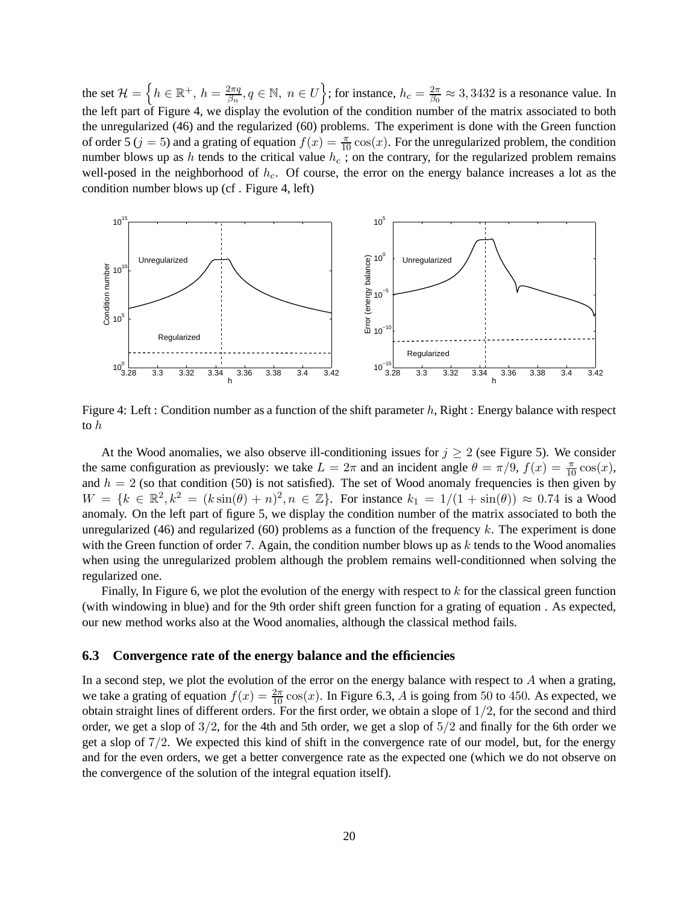the set  $\mathcal{H} = \left\{ h \in \mathbb{R}^+, h = \frac{2\pi q}{\beta_n} \right\}$  $\frac{2\pi q}{\beta_n}, q \in \mathbb{N}, n \in U$  ; for instance,  $h_c = \frac{2\pi q}{\beta_0}$  $\frac{2\pi}{\beta_0} \approx 3,3432$  is a resonance value. In the left part of Figure 4, we display the evolution of the condition number of the matrix associated to both the unregularized (46) and the regularized (60) problems. The experiment is done with the Green function of order 5 ( $j = 5$ ) and a grating of equation  $f(x) = \frac{\pi}{10} \cos(x)$ . For the unregularized problem, the condition number blows up as h tends to the critical value  $h_c$ ; on the contrary, for the regularized problem remains well-posed in the neighborhood of  $h_c$ . Of course, the error on the energy balance increases a lot as the condition number blows up (cf . Figure 4, left)



Figure 4: Left : Condition number as a function of the shift parameter h, Right : Energy balance with respect to h

At the Wood anomalies, we also observe ill-conditioning issues for  $j \geq 2$  (see Figure 5). We consider the same configuration as previously: we take  $L = 2\pi$  and an incident angle  $\theta = \pi/9$ ,  $f(x) = \frac{\pi}{10} \cos(x)$ , and  $h = 2$  (so that condition (50) is not satisfied). The set of Wood anomaly frequencies is then given by  $W = \{k \in \mathbb{R}^2, k^2 = (k \sin(\theta) + n)^2, n \in \mathbb{Z}\}.$  For instance  $k_1 = 1/(1 + \sin(\theta)) \approx 0.74$  is a Wood anomaly. On the left part of figure 5, we display the condition number of the matrix associated to both the unregularized (46) and regularized (60) problems as a function of the frequency k. The experiment is done with the Green function of order 7. Again, the condition number blows up as  $k$  tends to the Wood anomalies when using the unregularized problem although the problem remains well-conditionned when solving the regularized one.

Finally, In Figure 6, we plot the evolution of the energy with respect to  $k$  for the classical green function (with windowing in blue) and for the 9th order shift green function for a grating of equation . As expected, our new method works also at the Wood anomalies, although the classical method fails.

#### **6.3 Convergence rate of the energy balance and the efficiencies**

In a second step, we plot the evolution of the error on the energy balance with respect to  $A$  when a grating, we take a grating of equation  $f(x) = \frac{2\pi}{10} \cos(x)$ . In Figure 6.3, A is going from 50 to 450. As expected, we obtain straight lines of different orders. For the first order, we obtain a slope of  $1/2$ , for the second and third order, we get a slop of  $3/2$ , for the 4th and 5th order, we get a slop of  $5/2$  and finally for the 6th order we get a slop of 7/2. We expected this kind of shift in the convergence rate of our model, but, for the energy and for the even orders, we get a better convergence rate as the expected one (which we do not observe on the convergence of the solution of the integral equation itself).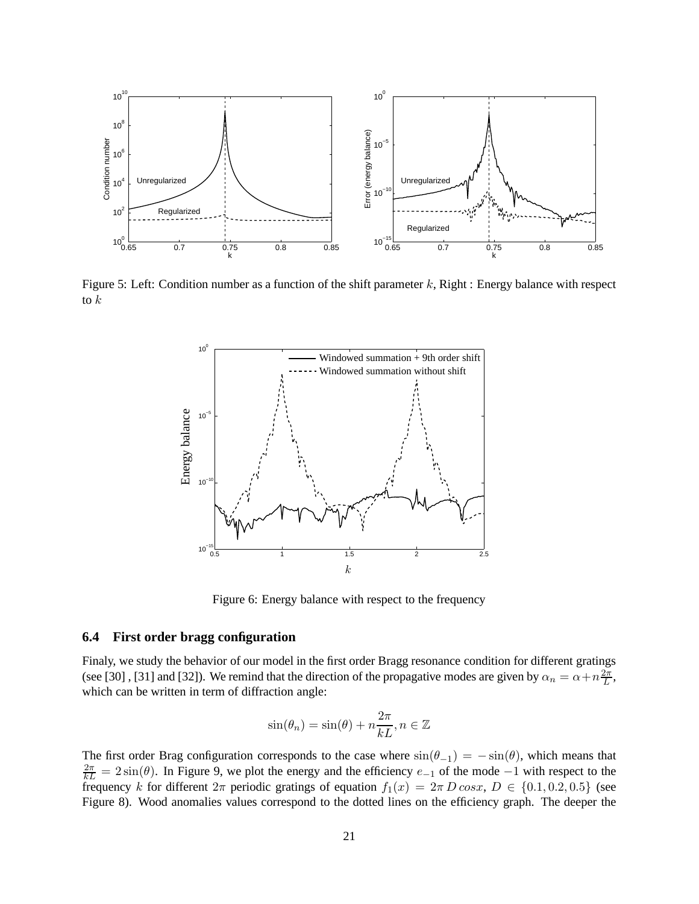

Figure 5: Left: Condition number as a function of the shift parameter  $k$ , Right : Energy balance with respect to  $k$ 



Figure 6: Energy balance with respect to the frequency

### **6.4 First order bragg configuration**

Finaly, we study the behavior of our model in the first order Bragg resonance condition for different gratings (see [30], [31] and [32]). We remind that the direction of the propagative modes are given by  $\alpha_n = \alpha + n \frac{2\pi}{L}$  $\frac{2\pi}{L}$ , which can be written in term of diffraction angle:

$$
\sin(\theta_n) = \sin(\theta) + n\frac{2\pi}{kL}, n \in \mathbb{Z}
$$

The first order Brag configuration corresponds to the case where  $\sin(\theta_{-1}) = -\sin(\theta)$ , which means that  $\frac{2\pi}{kL} = 2\sin(\theta)$ . In Figure 9, we plot the energy and the efficiency  $e_{-1}$  of the mode  $-1$  with respect to the frequency k for different  $2\pi$  periodic gratings of equation  $f_1(x) = 2\pi D \cos x$ ,  $D \in \{0.1, 0.2, 0.5\}$  (see Figure 8). Wood anomalies values correspond to the dotted lines on the efficiency graph. The deeper the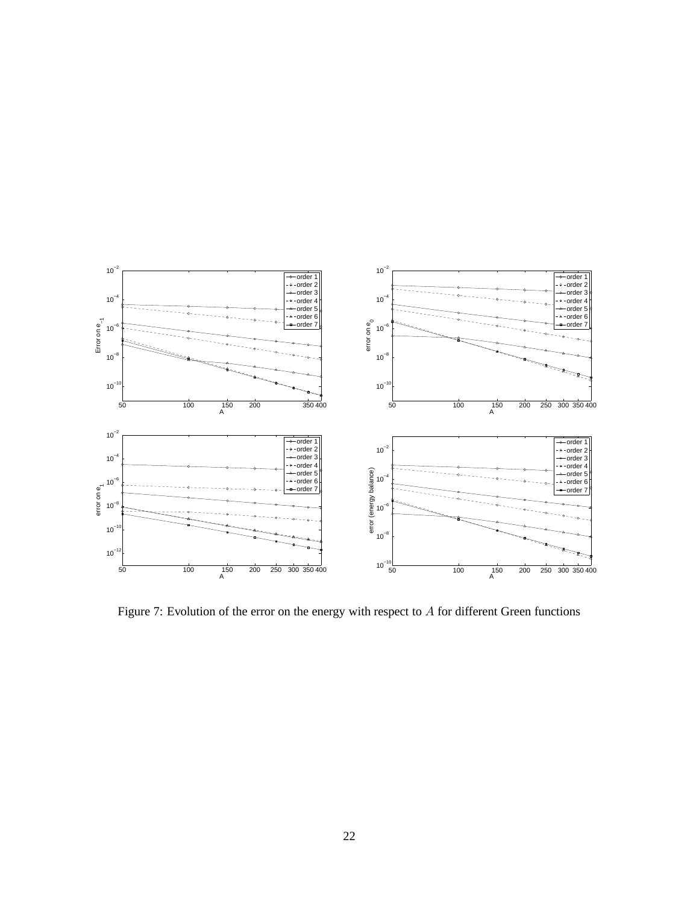

Figure 7: Evolution of the error on the energy with respect to A for different Green functions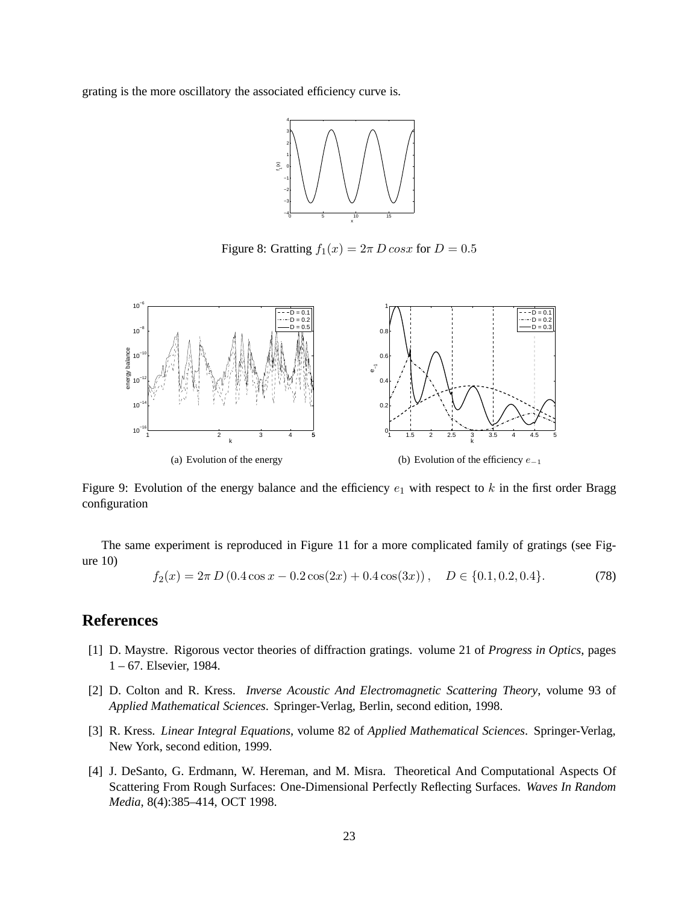grating is the more oscillatory the associated efficiency curve is.



Figure 8: Gratting  $f_1(x) = 2\pi D \cos x$  for  $D = 0.5$ 



Figure 9: Evolution of the energy balance and the efficiency  $e_1$  with respect to k in the first order Bragg configuration

The same experiment is reproduced in Figure 11 for a more complicated family of gratings (see Figure 10)

$$
f_2(x) = 2\pi D (0.4 \cos x - 0.2 \cos(2x) + 0.4 \cos(3x)), \quad D \in \{0.1, 0.2, 0.4\}.
$$
 (78)

## **References**

- [1] D. Maystre. Rigorous vector theories of diffraction gratings. volume 21 of *Progress in Optics*, pages 1 – 67. Elsevier, 1984.
- [2] D. Colton and R. Kress. *Inverse Acoustic And Electromagnetic Scattering Theory*, volume 93 of *Applied Mathematical Sciences*. Springer-Verlag, Berlin, second edition, 1998.
- [3] R. Kress. *Linear Integral Equations*, volume 82 of *Applied Mathematical Sciences*. Springer-Verlag, New York, second edition, 1999.
- [4] J. DeSanto, G. Erdmann, W. Hereman, and M. Misra. Theoretical And Computational Aspects Of Scattering From Rough Surfaces: One-Dimensional Perfectly Reflecting Surfaces. *Waves In Random Media*, 8(4):385–414, OCT 1998.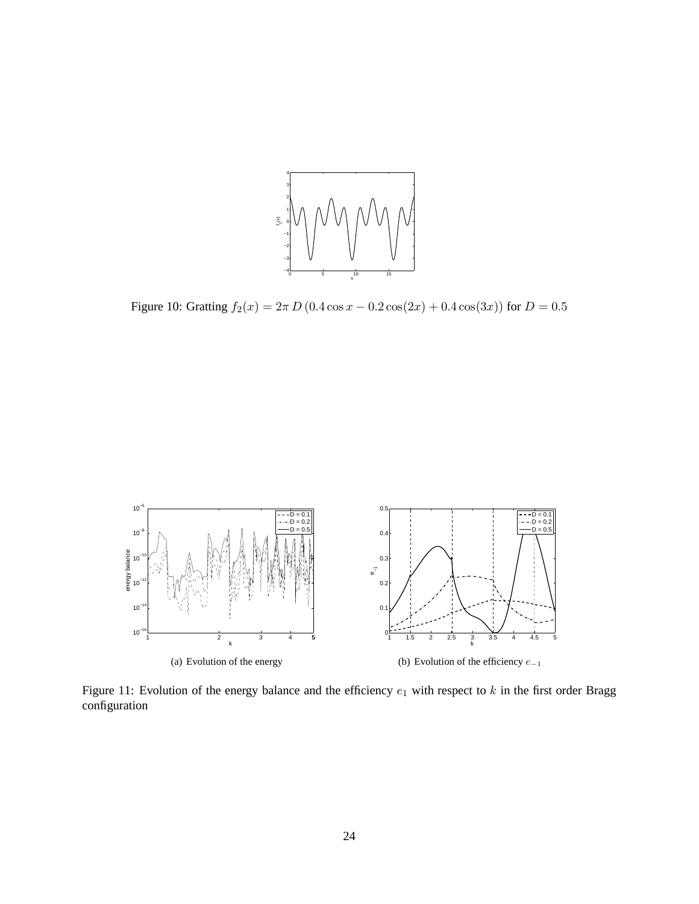

Figure 10: Gratting  $f_2(x) = 2\pi D (0.4 \cos x - 0.2 \cos(2x) + 0.4 \cos(3x))$  for  $D = 0.5$ 



Figure 11: Evolution of the energy balance and the efficiency  $e_1$  with respect to k in the first order Bragg configuration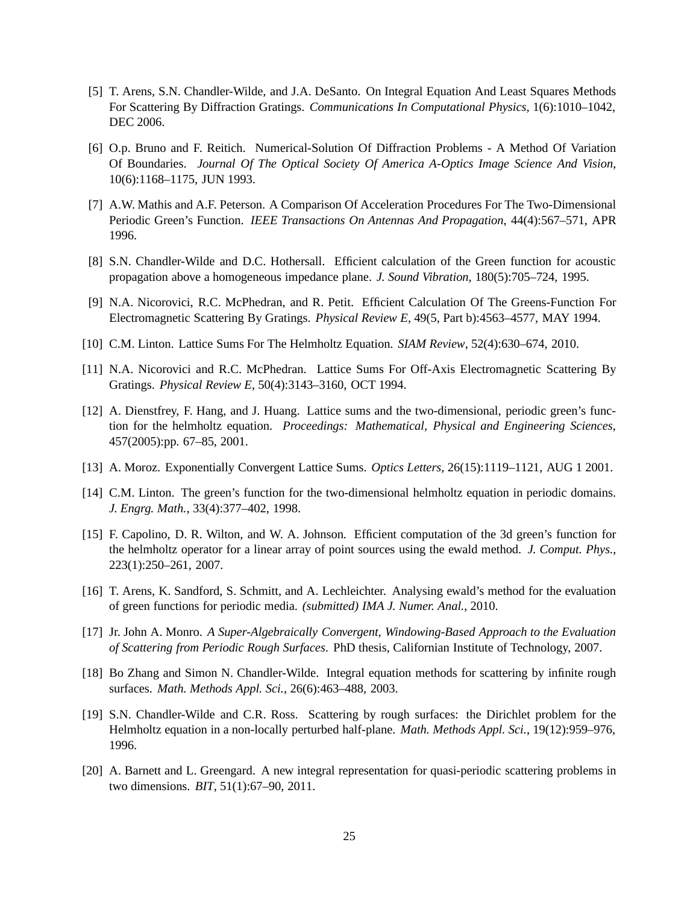- [5] T. Arens, S.N. Chandler-Wilde, and J.A. DeSanto. On Integral Equation And Least Squares Methods For Scattering By Diffraction Gratings. *Communications In Computational Physics*, 1(6):1010–1042, DEC 2006.
- [6] O.p. Bruno and F. Reitich. Numerical-Solution Of Diffraction Problems A Method Of Variation Of Boundaries. *Journal Of The Optical Society Of America A-Optics Image Science And Vision*, 10(6):1168–1175, JUN 1993.
- [7] A.W. Mathis and A.F. Peterson. A Comparison Of Acceleration Procedures For The Two-Dimensional Periodic Green's Function. *IEEE Transactions On Antennas And Propagation*, 44(4):567–571, APR 1996.
- [8] S.N. Chandler-Wilde and D.C. Hothersall. Efficient calculation of the Green function for acoustic propagation above a homogeneous impedance plane. *J. Sound Vibration*, 180(5):705–724, 1995.
- [9] N.A. Nicorovici, R.C. McPhedran, and R. Petit. Efficient Calculation Of The Greens-Function For Electromagnetic Scattering By Gratings. *Physical Review E*, 49(5, Part b):4563–4577, MAY 1994.
- [10] C.M. Linton. Lattice Sums For The Helmholtz Equation. *SIAM Review*, 52(4):630–674, 2010.
- [11] N.A. Nicorovici and R.C. McPhedran. Lattice Sums For Off-Axis Electromagnetic Scattering By Gratings. *Physical Review E*, 50(4):3143–3160, OCT 1994.
- [12] A. Dienstfrey, F. Hang, and J. Huang. Lattice sums and the two-dimensional, periodic green's function for the helmholtz equation. *Proceedings: Mathematical, Physical and Engineering Sciences*, 457(2005):pp. 67–85, 2001.
- [13] A. Moroz. Exponentially Convergent Lattice Sums. *Optics Letters*, 26(15):1119–1121, AUG 1 2001.
- [14] C.M. Linton. The green's function for the two-dimensional helmholtz equation in periodic domains. *J. Engrg. Math.*, 33(4):377–402, 1998.
- [15] F. Capolino, D. R. Wilton, and W. A. Johnson. Efficient computation of the 3d green's function for the helmholtz operator for a linear array of point sources using the ewald method. *J. Comput. Phys.*, 223(1):250–261, 2007.
- [16] T. Arens, K. Sandford, S. Schmitt, and A. Lechleichter. Analysing ewald's method for the evaluation of green functions for periodic media. *(submitted) IMA J. Numer. Anal.*, 2010.
- [17] Jr. John A. Monro. *A Super-Algebraically Convergent, Windowing-Based Approach to the Evaluation of Scattering from Periodic Rough Surfaces*. PhD thesis, Californian Institute of Technology, 2007.
- [18] Bo Zhang and Simon N. Chandler-Wilde. Integral equation methods for scattering by infinite rough surfaces. *Math. Methods Appl. Sci.*, 26(6):463–488, 2003.
- [19] S.N. Chandler-Wilde and C.R. Ross. Scattering by rough surfaces: the Dirichlet problem for the Helmholtz equation in a non-locally perturbed half-plane. *Math. Methods Appl. Sci.*, 19(12):959–976, 1996.
- [20] A. Barnett and L. Greengard. A new integral representation for quasi-periodic scattering problems in two dimensions. *BIT*, 51(1):67–90, 2011.